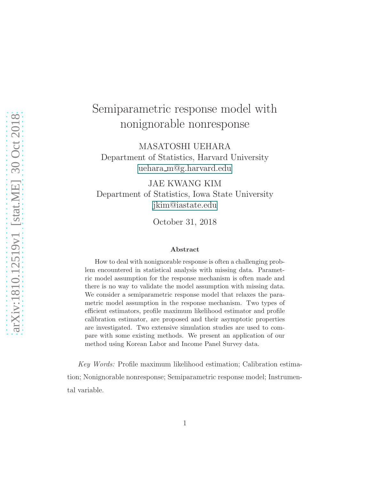# Semiparametric response model with nonignorable nonresponse

MASATOSHI UEHARA Department of Statistics, Harvard University uehara m@g.harvard.edu

JAE KWANG KIM Department of Statistics, Iowa State University jkim@iastate.edu

October 31, 2018

#### Abstract

How to deal with nonignorable response is often a challenging problem encountered in statistical analysis with missing data. Parametric model assumption for the response mechanism is often made and there is no way to validate the model assumption with missing data. We consider a semiparametric response model that relaxes the parametric model assumption in the response mechanism. Two types of efficient estimators, profile maximum likelihood estimator and profile calibration estimator, are proposed and their asymptotic properties are investigated. Two extensive simulation studies are used to compare with some existing methods. We present an application of our method using Korean Labor and Income Panel Survey data.

*Key Words:* Profile maximum likelihood estimation; Calibration estimation; Nonignorable nonresponse; Semiparametric response model; Instrumental variable.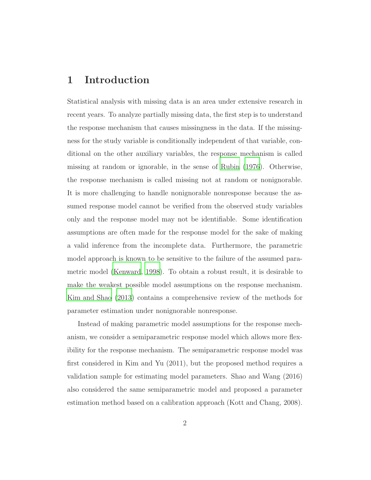## 1 Introduction

Statistical analysis with missing data is an area under extensive research in recent years. To analyze partially missing data, the first step is to understand the response mechanism that causes missingness in the data. If the missingness for the study variable is conditionally independent of that variable, conditional on the other auxiliary variables, the response mechanism is called missing at random or ignorable, in the sense of [Rubin \(1976\)](#page-38-0). Otherwise, the response mechanism is called missing not at random or nonignorable. It is more challenging to handle nonignorable nonresponse because the assumed response model cannot be verified from the observed study variables only and the response model may not be identifiable. Some identification assumptions are often made for the response model for the sake of making a valid inference from the incomplete data. Furthermore, the parametric model approach is known to be sensitive to the failure of the assumed parametric model [\(Kenward, 1998\)](#page-36-0). To obtain a robust result, it is desirable to make the weakest possible model assumptions on the response mechanism. [Kim and Shao \(2013](#page-37-0)) contains a comprehensive review of the methods for parameter estimation under nonignorable nonresponse.

Instead of making parametric model assumptions for the response mechanism, we consider a semiparametric response model which allows more flexibility for the response mechanism. The semiparametric response model was first considered in Kim and Yu (2011), but the proposed method requires a validation sample for estimating model parameters. Shao and Wang (2016) also considered the same semiparametric model and proposed a parameter estimation method based on a calibration approach (Kott and Chang, 2008).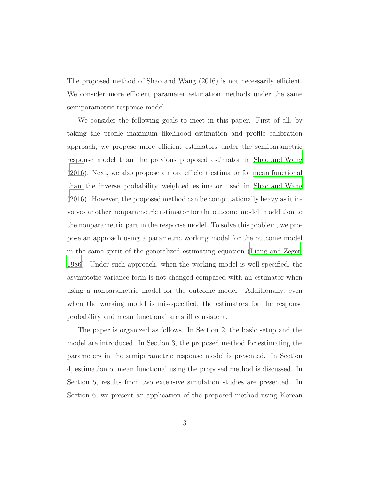The proposed method of Shao and Wang (2016) is not necessarily efficient. We consider more efficient parameter estimation methods under the same semiparametric response model.

We consider the following goals to meet in this paper. First of all, by taking the profile maximum likelihood estimation and profile calibration approach, we propose more efficient estimators under the semiparametric response model than the previous proposed estimator in [Shao and](#page-39-0) Wang [\(2016\)](#page-39-0). Next, we also propose a more efficient estimator for mean functional than the inverse probability weighted estimator used in [Shao and Wang](#page-39-0) [\(2016\)](#page-39-0). However, the proposed method can be computationally heavy as it involves another nonparametric estimator for the outcome model in addition to the nonparametric part in the response model. To solve this problem, we propose an approach using a parametric working model for the outcome model in the same spirit of the generalized estimating equation [\(Liang and Zeger](#page-37-1), [1986](#page-37-1)). Under such approach, when the working model is well-specified, the asymptotic variance form is not changed compared with an estimator when using a nonparametric model for the outcome model. Additionally, even when the working model is mis-specified, the estimators for the response probability and mean functional are still consistent.

The paper is organized as follows. In Section 2, the basic setup and the model are introduced. In Section 3, the proposed method for estimating the parameters in the semiparametric response model is presented. In Section 4, estimation of mean functional using the proposed method is discussed. In Section 5, results from two extensive simulation studies are presented. In Section 6, we present an application of the proposed method using Korean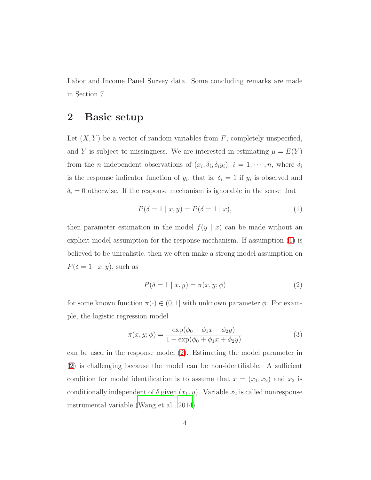Labor and Income Panel Survey data. Some concluding remarks are made in Section 7.

## 2 Basic setup

Let  $(X, Y)$  be a vector of random variables from F, completely unspecified, and Y is subject to missingness. We are interested in estimating  $\mu = E(Y)$ from the *n* independent observations of  $(x_i, \delta_i, \delta_i, y_i)$ ,  $i = 1, \dots, n$ , where  $\delta_i$ is the response indicator function of  $y_i$ , that is,  $\delta_i = 1$  if  $y_i$  is observed and  $\delta_i = 0$  otherwise. If the response mechanism is ignorable in the sense that

<span id="page-3-0"></span>
$$
P(\delta = 1 | x, y) = P(\delta = 1 | x),
$$
\n(1)

then parameter estimation in the model  $f(y | x)$  can be made without an explicit model assumption for the response mechanism. If assumption [\(1\)](#page-3-0) is believed to be unrealistic, then we often make a strong model assumption on  $P(\delta=1 \mid x, y)$ , such as

<span id="page-3-2"></span><span id="page-3-1"></span>
$$
P(\delta = 1 | x, y) = \pi(x, y; \phi)
$$
\n<sup>(2)</sup>

for some known function  $\pi(\cdot) \in (0, 1]$  with unknown parameter  $\phi$ . For example, the logistic regression model

$$
\pi(x, y; \phi) = \frac{\exp(\phi_0 + \phi_1 x + \phi_2 y)}{1 + \exp(\phi_0 + \phi_1 x + \phi_2 y)}
$$
(3)

can be used in the response model [\(2\)](#page-3-1). Estimating the model parameter in [\(2\)](#page-3-1) is challenging because the model can be non-identifiable. A sufficient condition for model identification is to assume that  $x = (x_1, x_2)$  and  $x_2$  is conditionally independent of  $\delta$  given  $(x_1, y)$ . Variable  $x_2$  is called nonresponse instrumental variable [\(Wang et al.](#page-39-1), [2014\)](#page-39-1).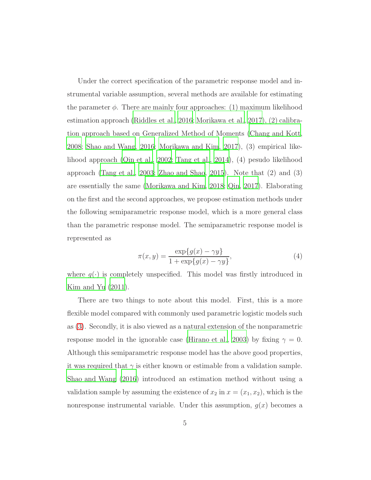Under the correct specification of the parametric response model and instrumental variable assumption, several methods are available for estimating the parameter  $\phi$ . There are mainly four approaches: (1) maximum likelihood estimation approach [\(Riddles et al., 2016;](#page-38-1) [Morikawa et al.](#page-37-2), [2017\)](#page-37-2), (2) calibration approach based on Generalized Method of Moments [\(Chang and](#page-36-1) Kott, [2008](#page-36-1); [Shao and Wang](#page-39-0), [2016;](#page-39-0) [Morikawa and Kim](#page-37-3), [2017\)](#page-37-3), (3) empirical likelihood approach [\(Qin et al., 2002;](#page-38-2) [Tang et al.](#page-39-2), [2014\)](#page-39-2), (4) pesudo likelihood approach [\(Tang et al.](#page-39-3), [2003;](#page-39-3) [Zhao and Shao, 2015\)](#page-39-4). Note that (2) and (3) are essentially the same [\(Morikawa and Kim, 2018](#page-37-4); [Qin](#page-38-3), [2017\)](#page-38-3). Elaborating on the first and the second approaches, we propose estimation methods under the following semiparametric response model, which is a more general class than the parametric response model. The semiparametric response model is represented as

<span id="page-4-0"></span>
$$
\pi(x, y) = \frac{\exp\{g(x) - \gamma y\}}{1 + \exp\{g(x) - \gamma y\}},
$$
\n(4)

where  $q(\cdot)$  is completely unspecified. This model was firstly introduced in Kim and Yu  $(2011)$ .

There are two things to note about this model. First, this is a more flexible model compared with commonly used parametric logistic models such as [\(3\)](#page-3-2). Secondly, it is also viewed as a natural extension of the nonparametric response model in the ignorable case [\(Hirano et al.](#page-36-2), [2003\)](#page-36-2) by fixing  $\gamma = 0$ . Although this semiparametric response model has the above good properties, it was required that  $\gamma$  is either known or estimable from a validation sample. [Shao and Wang \(2016](#page-39-0)) introduced an estimation method without using a validation sample by assuming the existence of  $x_2$  in  $x = (x_1, x_2)$ , which is the nonresponse instrumental variable. Under this assumption,  $q(x)$  becomes a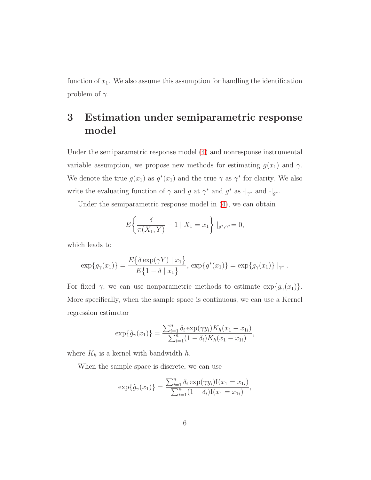function of  $x_1$ . We also assume this assumption for handling the identification problem of  $\gamma$ .

# 3 Estimation under semiparametric response model

Under the semiparametric response model [\(4\)](#page-4-0) and nonresponse instrumental variable assumption, we propose new methods for estimating  $g(x_1)$  and  $\gamma$ . We denote the true  $g(x_1)$  as  $g^*(x_1)$  and the true  $\gamma$  as  $\gamma^*$  for clarity. We also write the evaluating function of  $\gamma$  and  $g$  at  $\gamma^*$  and  $g^*$  as  $\cdot|_{\gamma^*}$  and  $\cdot|_{g^*}$ .

Under the semiparametric response model in [\(4\)](#page-4-0), we can obtain

$$
E\left\{\frac{\delta}{\pi(X_1, Y)} - 1 \mid X_1 = x_1\right\} \mid_{g^*, \gamma^*} = 0,
$$

which leads to

$$
\exp\{g_{\gamma}(x_1)\} = \frac{E\{\delta \exp(\gamma Y) \mid x_1\}}{E\{1 - \delta \mid x_1\}}, \exp\{g^*(x_1)\} = \exp\{g_{\gamma}(x_1)\}\mid_{\gamma^*}.
$$

For fixed  $\gamma$ , we can use nonparametric methods to estimate  $\exp\{g_{\gamma}(x_1)\}.$ More specifically, when the sample space is continuous, we can use a Kernel regression estimator

$$
\exp{\hat{g}_{\gamma}(x_1)} = \frac{\sum_{i=1}^{n} \delta_i \exp(\gamma y_i) K_h(x_1 - x_{1i})}{\sum_{i=1}^{n} (1 - \delta_i) K_h(x_1 - x_{1i})},
$$

where  $K_h$  is a kernel with bandwidth  $h$ .

When the sample space is discrete, we can use

$$
\exp{\hat{g}_{\gamma}(x_1)} = \frac{\sum_{i=1}^{n} \delta_i \exp(\gamma y_i) \mathbf{I}(x_1 = x_{1i})}{\sum_{i=1}^{n} (1 - \delta_i) \mathbf{I}(x_1 = x_{1i})},
$$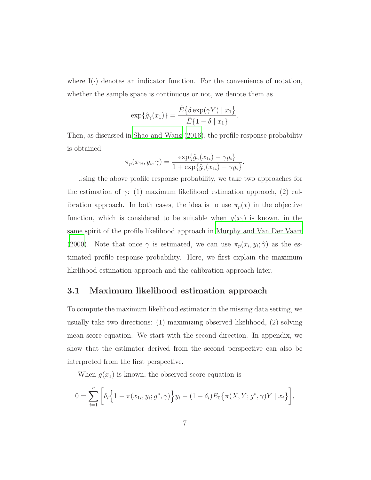where  $I(\cdot)$  denotes an indicator function. For the convenience of notation, whether the sample space is continuous or not, we denote them as

$$
\exp{\hat{g}_{\gamma}(x_1)} = \frac{\tilde{E}\{\delta \exp(\gamma Y) \mid x_1\}}{\tilde{E}\{1 - \delta \mid x_1\}}.
$$

Then, as discussed in [Shao and Wang \(2016\)](#page-39-0), the profile response probability is obtained:

$$
\pi_p(x_{1i}, y_i; \gamma) = \frac{\exp{\{\hat{g}_{\gamma}(x_{1i}) - \gamma y_i\}}}{1 + \exp{\{\hat{g}_{\gamma}(x_{1i}) - \gamma y_i\}}}.
$$

Using the above profile response probability, we take two approaches for the estimation of  $\gamma$ : (1) maximum likelihood estimation approach, (2) calibration approach. In both cases, the idea is to use  $\pi_p(x)$  in the objective function, which is considered to be suitable when  $g(x_1)$  is known, in the same spirit of the profile likelihood approach in [Murphy and Van Der Vaart](#page-38-4) [\(2000\)](#page-38-4). Note that once  $\gamma$  is estimated, we can use  $\pi_p(x_i, y_i; \hat{\gamma})$  as the estimated profile response probability. Here, we first explain the maximum likelihood estimation approach and the calibration approach later.

#### 3.1 Maximum likelihood estimation approach

To compute the maximum likelihood estimator in the missing data setting, we usually take two directions: (1) maximizing observed likelihood, (2) solving mean score equation. We start with the second direction. In appendix, we show that the estimator derived from the second perspective can also be interpreted from the first perspective.

When  $g(x_1)$  is known, the observed score equation is

$$
0 = \sum_{i=1}^{n} \left[ \delta_i \left\{ 1 - \pi(x_{1i}, y_i; g^*, \gamma) \right\} y_i - (1 - \delta_i) E_0 \left\{ \pi(X, Y; g^*, \gamma) Y \mid x_i \right\} \right],
$$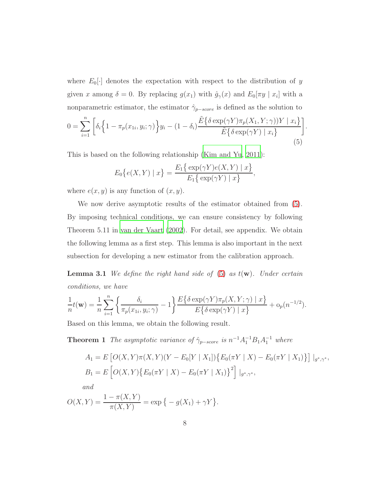where  $E_0[\cdot]$  denotes the expectation with respect to the distribution of y given x among  $\delta = 0$ . By replacing  $g(x_1)$  with  $\hat{g}_{\gamma}(x)$  and  $E_0[\pi y \mid x_i]$  with a nonparametric estimator, the estimator  $\hat{\gamma}_{p-score}$  is defined as the solution to  $0 = \sum_{n=1}^{n}$  $\Gamma$  $\delta_i$ n  $1 - \pi_p(x_{1i})$  $, y_i$  $;\gamma)$ o  $y_i - (1 - \delta_i)$  $\tilde{E} \big\{\delta \exp(\gamma Y) \pi_p(X_1, Y; \gamma) \big) Y \mid x_i \big\}$  $\tilde{E}$ ∤  $\}$ 

$$
0 = \sum_{i=1} \left[ \delta_i \left\{ 1 - \pi_p(x_{1i}, y_i; \gamma) \right\} y_i - (1 - \delta_i) \frac{\sum \{ 0 \operatorname{cap}(\gamma_1) \pi_p(x_1, x, \gamma) \} 1 - x_i \gamma}{\tilde{E} \left\{ \delta \exp(\gamma Y) \mid x_i \right\}} \right] \tag{5}
$$

<span id="page-7-0"></span>.

This is based on the following relationship [\(Kim and Yu](#page-37-5), [2011\)](#page-37-5):

$$
E_0\{e(X,Y) \mid x\} = \frac{E_1\{\exp(\gamma Y)e(X,Y) \mid x\}}{E_1\{\exp(\gamma Y) \mid x\}},
$$

where  $e(x, y)$  is any function of  $(x, y)$ .

We now derive asymptotic results of the estimator obtained from [\(5\)](#page-7-0). By imposing technical conditions, we can ensure consistency by following Theorem 5.11 in [van der Vaart \(2002\)](#page-39-5). For detail, see appendix. We obtain the following lemma as a first step. This lemma is also important in the next subsection for developing a new estimator from the calibration approach.

<span id="page-7-1"></span>Lemma 3.1 *We define the right hand side of* [\(5\)](#page-7-0) *as* t(w)*. Under certain conditions, we have*

$$
\frac{1}{n}t(\mathbf{w}) = \frac{1}{n}\sum_{i=1}^n \left\{\frac{\delta_i}{\pi_p(x_{1i}, y_i; \gamma)} - 1\right\} \frac{E\{\delta \exp(\gamma Y)\pi_p(X, Y; \gamma) \mid x\}}{E\{\delta \exp(\gamma Y) \mid x\}} + o_p(n^{-1/2}).
$$

Based on this lemma, we obtain the following result.

**Theorem 1** *The asymptotic variance of*  $\hat{\gamma}_{p-score}$  *is*  $n^{-1}A_1^{-1}B_1A_1^{-1}$  *where* 

<span id="page-7-2"></span>
$$
A_1 = E\left[O(X, Y)\pi(X, Y)(Y - E_0[Y \mid X_1])\{E_0(\pi Y \mid X) - E_0(\pi Y \mid X_1)\}\right]|_{g^*, \gamma^*},
$$
  
\n
$$
B_1 = E\left[O(X, Y)\{E_0(\pi Y \mid X) - E_0(\pi Y \mid X_1)\}^2\right]|_{g^*, \gamma^*},
$$
  
\nand

$$
O(X,Y) = \frac{1 - \pi(X,Y)}{\pi(X,Y)} = \exp\{-g(X_1) + \gamma Y\}.
$$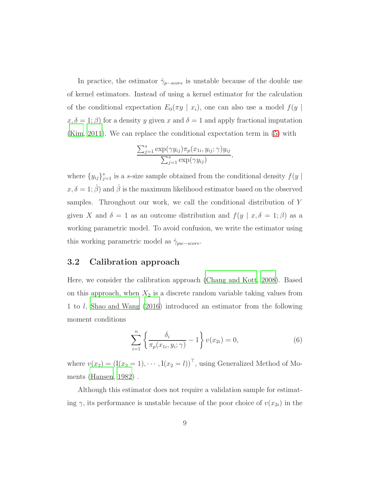In practice, the estimator  $\hat{\gamma}_{p-score}$  is unstable because of the double use of kernel estimators. Instead of using a kernel estimator for the calculation of the conditional expectation  $E_0(\pi y \mid x_i)$ , one can also use a model  $f(y \mid x_i)$  $x, \delta = 1; \beta$  for a density y given x and  $\delta = 1$  and apply fractional imputation [\(Kim, 2011](#page-36-3)). We can replace the conditional expectation term in [\(5\)](#page-7-0) with

$$
\frac{\sum_{j=1}^{s} \exp(\gamma y_{ij}) \pi_p(x_{1i}, y_{ij}; \gamma) y_{ij}}{\sum_{j=1}^{s} \exp(\gamma y_{ij})},
$$

where  ${y_{ij}}_{j=1}^s$  is a *s*-size sample obtained from the conditional density  $f(y \mid$  $x, \delta = 1; \hat{\beta}$  and  $\hat{\beta}$  is the maximum likelihood estimator based on the observed samples. Throughout our work, we call the conditional distribution of Y given X and  $\delta = 1$  as an outcome distribution and  $f(y \mid x, \delta = 1; \beta)$  as a working parametric model. To avoid confusion, we write the estimator using this working parametric model as  $\hat{\gamma}_{pw-score}$ .

#### 3.2 Calibration approach

Here, we consider the calibration approach [\(Chang and Kott](#page-36-1), [2008\)](#page-36-1). Based on this approach, when  $X_2$  is a discrete random variable taking values from 1 to l, [Shao and Wang \(2016\)](#page-39-0) introduced an estimator from the following moment conditions

$$
\sum_{i=1}^{n} \left\{ \frac{\delta_i}{\pi_p(x_{1i}, y_i; \gamma)} - 1 \right\} v(x_{2i}) = 0, \tag{6}
$$

where  $v(x_2) = (I(x_2 = 1), \dots, I(x_2 = l))^T$ , using Generalized Method of Moments [\(Hansen](#page-36-4), [1982\)](#page-36-4) .

Although this estimator does not require a validation sample for estimating  $\gamma$ , its performance is unstable because of the poor choice of  $v(x_{2i})$  in the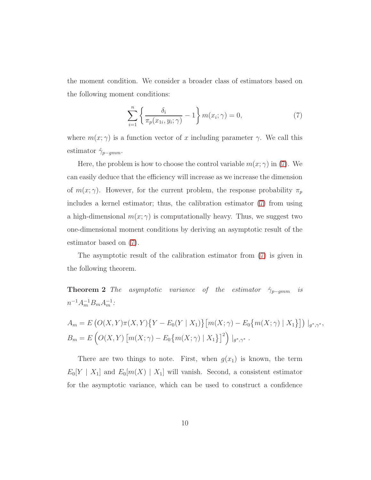the moment condition. We consider a broader class of estimators based on the following moment conditions:

<span id="page-9-0"></span>
$$
\sum_{i=1}^{n} \left\{ \frac{\delta_i}{\pi_p(x_{1i}, y_i; \gamma)} - 1 \right\} m(x_i; \gamma) = 0,
$$
\n(7)

where  $m(x; \gamma)$  is a function vector of x including parameter  $\gamma$ . We call this estimator  $\hat{\gamma}_{p-gmm}$ .

Here, the problem is how to choose the control variable  $m(x; \gamma)$  in [\(7\)](#page-9-0). We can easily deduce that the efficiency will increase as we increase the dimension of  $m(x; \gamma)$ . However, for the current problem, the response probability  $\pi_p$ includes a kernel estimator; thus, the calibration estimator [\(7\)](#page-9-0) from using a high-dimensional  $m(x; \gamma)$  is computationally heavy. Thus, we suggest two one-dimensional moment conditions by deriving an asymptotic result of the estimator based on [\(7\)](#page-9-0).

<span id="page-9-1"></span>The asymptotic result of the calibration estimator from [\(7\)](#page-9-0) is given in the following theorem.

**Theorem 2** *The asymptotic variance of the estimator*  $\hat{\gamma}_{p-qmm}$  *is*  $n^{-1}A_m^{-1}B_mA_m^{-1}$ :

$$
A_m = E\left(O(X, Y)\pi(X, Y)\{Y - E_0(Y \mid X_1)\}\left[m(X; \gamma) - E_0\{m(X; \gamma) \mid X_1\}\right]\right) |_{g^*, \gamma^*},
$$
  
\n
$$
B_m = E\left(O(X, Y)\left[m(X; \gamma) - E_0\{m(X; \gamma) \mid X_1\}\right]^2\right) |_{g^*, \gamma^*}.
$$

There are two things to note. First, when  $g(x_1)$  is known, the term  $E_0[Y \mid X_1]$  and  $E_0[m(X) \mid X_1]$  will vanish. Second, a consistent estimator for the asymptotic variance, which can be used to construct a confidence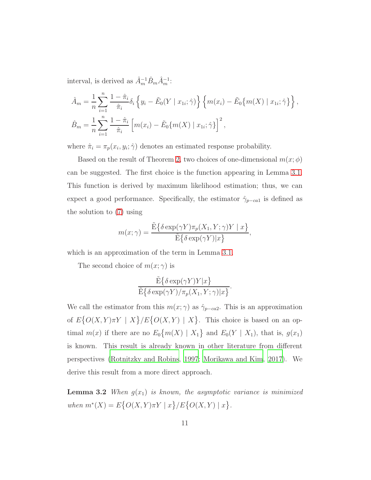interval, is derived as  $\hat{A}_{m}^{-1}\hat{B}_{m}\hat{A}_{m}^{-1}$ :

$$
\hat{A}_m = \frac{1}{n} \sum_{i=1}^n \frac{1 - \hat{\pi}_i}{\hat{\pi}_i} \delta_i \left\{ y_i - \tilde{E}_0(Y \mid x_{1i}; \hat{\gamma}) \right\} \left\{ m(x_i) - \tilde{E}_0 \{ m(X) \mid x_{1i}; \hat{\gamma} \} \right\},
$$
  

$$
\hat{B}_m = \frac{1}{n} \sum_{i=1}^n \frac{1 - \hat{\pi}_i}{\hat{\pi}_i} \left[ m(x_i) - \tilde{E}_0 \{ m(X) \mid x_{1i}; \hat{\gamma} \} \right]^2,
$$

where  $\hat{\pi}_i = \pi_p(x_i, y_i; \hat{\gamma})$  denotes an estimated response probability.

Based on the result of Theorem [2,](#page-9-1) two choices of one-dimensional  $m(x; \phi)$ can be suggested. The first choice is the function appearing in Lemma [3.1.](#page-7-1) This function is derived by maximum likelihood estimation; thus, we can expect a good performance. Specifically, the estimator  $\hat{\gamma}_{p-ca1}$  is defined as the solution to [\(7\)](#page-9-0) using

$$
m(x; \gamma) = \frac{\tilde{\mathrm{E}}\{\delta \exp(\gamma Y)\pi_p(X_1, Y; \gamma)Y \mid x\}}{\tilde{\mathrm{E}}\{\delta \exp(\gamma Y)|x\}},
$$

which is an approximation of the term in Lemma [3.1.](#page-7-1)

The second choice of  $m(x; \gamma)$  is

$$
\frac{\tilde{\mathrm E}\{\delta\exp(\gamma Y)Y|x\}}{\tilde{\mathrm E}\{\delta\exp(\gamma Y)/\pi_p(X_1, Y;\gamma)|x\}}.
$$

We call the estimator from this  $m(x; \gamma)$  as  $\hat{\gamma}_{p-ca2}$ . This is an approximation of  $E\{O(X,Y)\pi Y \mid X\} / E\{O(X,Y) \mid X\}$ . This choice is based on an optimal  $m(x)$  if there are no  $E_0{m(X) | X_1}$  and  $E_0(Y | X_1)$ , that is,  $g(x_1)$ is known. This result is already known in other literature from different perspectives [\(Rotnitzky and Robins](#page-38-5), [1997](#page-38-5); [Morikawa and Kim](#page-37-3), [2017](#page-37-3)). We derive this result from a more direct approach.

**Lemma 3.2** *When*  $g(x_1)$  *is known, the asymptotic variance is minimized when*  $m^*(X) = E\{O(X, Y)\pi Y \mid x\}/E\{O(X, Y) \mid x\}.$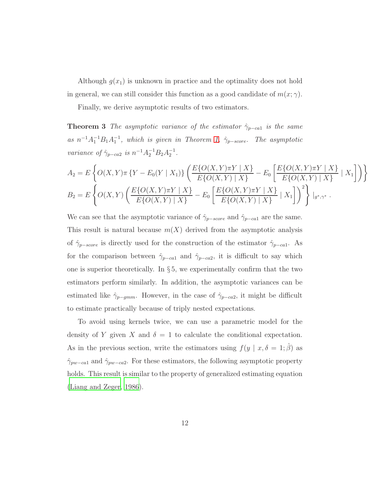Although  $g(x_1)$  is unknown in practice and the optimality does not hold in general, we can still consider this function as a good candidate of  $m(x; \gamma)$ .

<span id="page-11-0"></span>Finally, we derive asymptotic results of two estimators.

**Theorem 3** *The asymptotic variance of the estimator*  $\hat{\gamma}_{p-ca1}$  *is the same as*  $n^{-1}A_1^{-1}B_1A_1^{-1}$ , which is given in Theorem [1,](#page-7-2)  $\hat{\gamma}_{p-score}$ . The asymptotic *variance of*  $\hat{\gamma}_{p-ca2}$  *is*  $n^{-1}A_2^{-1}B_2A_2^{-1}$ *.* 

$$
A_2 = E\left\{O(X,Y)\pi\left\{Y - E_0(Y \mid X_1)\right\} \left(\frac{E\{O(X,Y)\pi Y \mid X\}}{E\{O(X,Y) \mid X\}} - E_0\left[\frac{E\{O(X,Y)\pi Y \mid X\}}{E\{O(X,Y) \mid X\}} \mid X_1\right]\right)\right\}
$$
  
\n
$$
B_2 = E\left\{O(X,Y)\left(\frac{E\{O(X,Y)\pi Y \mid X\}}{E\{O(X,Y) \mid X\}} - E_0\left[\frac{E\{O(X,Y)\pi Y \mid X\}}{E\{O(X,Y) \mid X\}} \mid X_1\right]\right)^2\right\}|_{g^*,\gamma^*}.
$$

We can see that the asymptotic variance of  $\hat{\gamma}_{p-score}$  and  $\hat{\gamma}_{p-ca1}$  are the same. This result is natural because  $m(X)$  derived from the asymptotic analysis of  $\hat{\gamma}_{p-score}$  is directly used for the construction of the estimator  $\hat{\gamma}_{p-ca1}$ . As for the comparison between  $\hat{\gamma}_{p-ca1}$  and  $\hat{\gamma}_{p-ca2}$ , it is difficult to say which one is superior theoretically. In  $\S 5$ , we experimentally confirm that the two estimators perform similarly. In addition, the asymptotic variances can be estimated like  $\hat{\gamma}_{p-gmm}$ . However, in the case of  $\hat{\gamma}_{p-ca2}$ , it might be difficult to estimate practically because of triply nested expectations.

To avoid using kernels twice, we can use a parametric model for the density of Y given X and  $\delta = 1$  to calculate the conditional expectation. As in the previous section, write the estimators using  $f(y \mid x, \delta = 1; \hat{\beta})$  as  $\hat{\gamma}_{pw-ca1}$  and  $\hat{\gamma}_{pw-ca2}$ . For these estimators, the following asymptotic property holds. This result is similar to the property of generalized estimating equation [\(Liang and Zeger, 1986](#page-37-1)).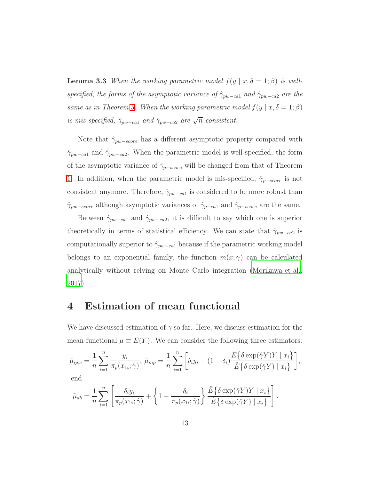**Lemma 3.3** *When the working parametric model*  $f(y | x, \delta = 1; \beta)$  *is wellspecified, the forms of the asymptotic variance of*  $\hat{\gamma}_{pw-ca1}$  *and*  $\hat{\gamma}_{pw-ca2}$  *are the same as in Theorem [3.](#page-11-0) When the working parametric model*  $f(y | x, \delta = 1; \beta)$ *is mis-specified,*  $\hat{\gamma}_{pw-ca1}$  *and*  $\hat{\gamma}_{pw-ca2}$  *are*  $\sqrt{n}$ -consistent.

Note that  $\hat{\gamma}_{pw-score}$  has a different asymptotic property compared with  $\hat{\gamma}_{pw-ca1}$  and  $\hat{\gamma}_{pw-ca2}$ . When the parametric model is well-specified, the form of the asymptotic variance of  $\hat{\gamma}_{p-score}$  will be changed from that of Theorem [1.](#page-7-2) In addition, when the parametric model is mis-specified,  $\hat{\gamma}_{p-score}$  is not consistent anymore. Therefore,  $\hat{\gamma}_{pw-ca1}$  is considered to be more robust than  $\hat{\gamma}_{pw-score}$  although asymptotic variances of  $\hat{\gamma}_{p-ca1}$  and  $\hat{\gamma}_{p-score}$  are the same.

Between  $\hat{\gamma}_{pw-ca1}$  and  $\hat{\gamma}_{pw-ca2}$ , it is difficult to say which one is superior theoretically in terms of statistical efficiency. We can state that  $\hat{\gamma}_{pw-ca2}$  is computationally superior to  $\hat{\gamma}_{pw-ca1}$  because if the parametric working model belongs to an exponential family, the function  $m(x; \gamma)$  can be calculated analytically without relying on Monte Carlo integration [\(Morikawa et al.](#page-37-2), [2017](#page-37-2)).

## 4 Estimation of mean functional

We have discussed estimation of  $\gamma$  so far. Here, we discuss estimation for the mean functional  $\mu \equiv E(Y)$ . We can consider the following three estimators:

$$
\hat{\mu}_{ipw} = \frac{1}{n} \sum_{i=1}^{n} \frac{y_i}{\pi_p(x_{1i}; \hat{\gamma})}, \ \hat{\mu}_{mp} = \frac{1}{n} \sum_{i=1}^{n} \left[ \delta_i y_i + (1 - \delta_i) \frac{\tilde{E} \{ \delta \exp(\hat{\gamma} Y) Y \mid x_i \}}{\tilde{E} \{ \delta \exp(\hat{\gamma} Y) \mid x_i \}} \right],
$$
  
end

$$
\hat{\mu}_{db} = \frac{1}{n} \sum_{i=1}^{n} \left[ \frac{\delta_i y_i}{\pi_p(x_{1i}; \hat{\gamma})} + \left\{ 1 - \frac{\delta_i}{\pi_p(x_{1i}; \hat{\gamma})} \right\} \frac{\tilde{E} \{ \delta \exp(\hat{\gamma} Y) Y \mid x_i \}}{\tilde{E} \{ \delta \exp(\hat{\gamma} Y) \mid x_i \}} \right].
$$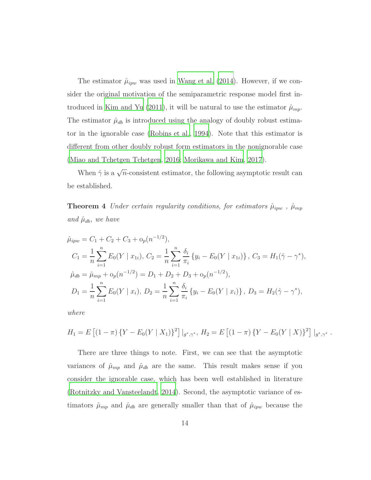The estimator  $\hat{\mu}_{ipw}$  was used in [Wang et al. \(2014](#page-39-1)). However, if we consider the original motivation of the semiparametric response model first in-troduced in [Kim and Yu \(2011](#page-37-5)), it will be natural to use the estimator  $\hat{\mu}_{mp}$ . The estimator  $\hat{\mu}_{db}$  is introduced using the analogy of doubly robust estimator in the ignorable case [\(Robins et al., 1994](#page-38-6)). Note that this estimator is different from other doubly robust form estimators in the nonignorable case [\(Miao and Tchetgen Tchetgen, 2016;](#page-37-6) [Morikawa and Kim, 2017](#page-37-3)).

<span id="page-13-0"></span>When  $\hat{\gamma}$  is a  $\sqrt{n}$ -consistent estimator, the following asymptotic result can be established.

**Theorem 4** *Under certain regularity conditions, for estimators*  $\hat{\mu}_{ipw}$ ,  $\hat{\mu}_{mp}$ *and*  $\hat{\mu}_{db}$ *, we have* 

$$
\hat{\mu}_{ipw} = C_1 + C_2 + C_3 + o_p(n^{-1/2}),
$$
\n
$$
C_1 = \frac{1}{n} \sum_{i=1}^n E_0(Y \mid x_{1i}), C_2 = \frac{1}{n} \sum_{i=1}^n \frac{\delta_i}{\pi_i} \{y_i - E_0(Y \mid x_{1i})\}, C_3 = H_1(\hat{\gamma} - \gamma^*),
$$
\n
$$
\hat{\mu}_{db} = \hat{\mu}_{mp} + o_p(n^{-1/2}) = D_1 + D_2 + D_3 + o_p(n^{-1/2}),
$$
\n
$$
D_1 = \frac{1}{n} \sum_{i=1}^n E_0(Y \mid x_i), D_2 = \frac{1}{n} \sum_{i=1}^n \frac{\delta_i}{\pi_i} \{y_i - E_0(Y \mid x_i)\}, D_3 = H_2(\hat{\gamma} - \gamma^*),
$$

*where*

$$
H_1 = E [(1 - \pi) \{ Y - E_0(Y | X_1) \}^2] |_{g^*, \gamma^*}, H_2 = E [(1 - \pi) \{ Y - E_0(Y | X) \}^2] |_{g^*, \gamma^*}.
$$

There are three things to note. First, we can see that the asymptotic variances of  $\hat{\mu}_{mp}$  and  $\hat{\mu}_{db}$  are the same. This result makes sense if you consider the ignorable case, which has been well established in literature [\(Rotnitzky and Vansteelandt](#page-38-7), [2014\)](#page-38-7). Second, the asymptotic variance of estimators  $\hat{\mu}_{mp}$  and  $\hat{\mu}_{db}$  are generally smaller than that of  $\hat{\mu}_{ipw}$  because the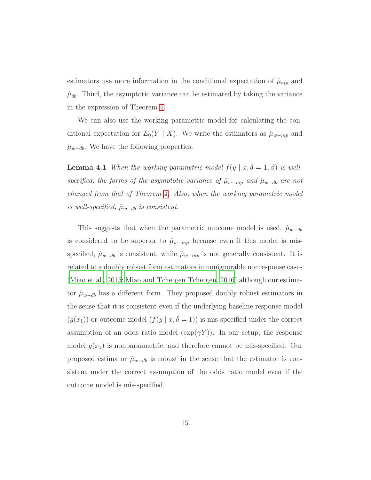estimators use more information in the conditional expectation of  $\hat{\mu}_{mp}$  and  $\hat{\mu}_{db}$ . Third, the asymptotic variance can be estimated by taking the variance in the expression of Theorem [4.](#page-13-0)

We can also use the working parametric model for calculating the conditional expectation for  $E_0(Y \mid X)$ . We write the estimators as  $\hat{\mu}_{w-mp}$  and  $\hat{\mu}_{w-db}$ . We have the following properties.

**Lemma 4.1** *When the working parametric model*  $f(y | x, \delta = 1; \beta)$  *is wellspecified, the forms of the asymptotic variance of*  $\hat{\mu}_{w-mp}$  *and*  $\hat{\mu}_{w-db}$  *are not changed from that of Theorem [4.](#page-13-0) Also, when the working parametric model*  $is well-specified, \hat{\mu}_{w-db}$  *is consistent.* 

This suggests that when the parametric outcome model is used,  $\hat{\mu}_{w-db}$ is considered to be superior to  $\hat{\mu}_{w-mp}$  because even if this model is misspecified,  $\hat{\mu}_{w-db}$  is consistent, while  $\hat{\mu}_{w-mp}$  is not generally consistent. It is related to a doubly robust form estimators in nonignorable nonresponse cases [\(Miao et al., 2015;](#page-37-7) [Miao and Tchetgen Tchetgen](#page-37-6), [2016](#page-37-6)) although our estimator  $\hat{\mu}_{w-db}$  has a different form. They proposed doubly robust estimators in the sense that it is consistent even if the underlying baseline response model  $(g(x_1))$  or outcome model  $(f(y | x, \delta = 1))$  is mis-specified under the correct assumption of an odds ratio model  $(\exp(\gamma Y))$ . In our setup, the response model  $g(x_1)$  is nonparamaetric, and therefore cannot be mis-specified. Our proposed estimator  $\hat{\mu}_{w-db}$  is robust in the sense that the estimator is consistent under the correct assumption of the odds ratio model even if the outcome model is mis-specified.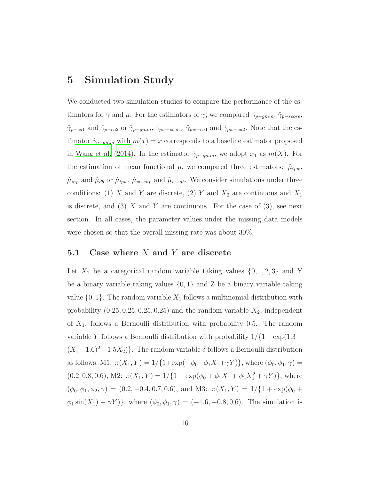## 5 Simulation Study

We conducted two simulation studies to compare the performance of the estimators for  $\gamma$  and  $\mu$ . For the estimators of  $\gamma$ , we compared  $\hat{\gamma}_{p-gmm}$ ,  $\hat{\gamma}_{p-score}$ ,  $\hat{\gamma}_{p-ca1}$  and  $\hat{\gamma}_{p-ca2}$  or  $\hat{\gamma}_{p-gmm}$ ,  $\hat{\gamma}_{pw-score}$ ,  $\hat{\gamma}_{pw-ca1}$  and  $\hat{\gamma}_{pw-ca2}$ . Note that the estimator  $\hat{\gamma}_{p-gmm}$  with  $m(x) = x$  corresponds to a baseline estimator proposed in [Wang et al. \(2014](#page-39-1)). In the estimator  $\hat{\gamma}_{p-gmm}$ , we adopt  $x_1$  as  $m(X)$ . For the estimation of mean functional  $\mu$ , we compared three estimators:  $\hat{\mu}_{ipw}$ ,  $\hat{\mu}_{mp}$  and  $\hat{\mu}_{db}$  or  $\hat{\mu}_{ipw}$ ,  $\hat{\mu}_{w-mp}$  and  $\hat{\mu}_{w-db}$ . We consider simulations under three conditions: (1) X and Y are discrete, (2) Y and  $X_2$  are continuous and  $X_1$ is discrete, and  $(3)$  X and Y are continuous. For the case of  $(3)$ , see next section. In all cases, the parameter values under the missing data models were chosen so that the overall missing rate was about 30%.

#### 5.1 Case where  $X$  and  $Y$  are discrete

Let  $X_1$  be a categorical random variable taking values  $\{0, 1, 2, 3\}$  and Y be a binary variable taking values  $\{0, 1\}$  and Z be a binary variable taking value  $\{0, 1\}$ . The random variable  $X_1$  follows a multinomial distribution with probability  $(0.25, 0.25, 0.25, 0.25)$  and the random variable  $X_2$ , independent of  $X_1$ , follows a Bernoulli distribution with probability 0.5. The random variable Y follows a Bernoulli distribution with probability  $1/\{1 + \exp(1.3 - \frac{1}{2})\}$  $(X_1-1.6)^2-1.5X_2$ }. The random variable  $\delta$  follows a Bernoulli distribution as follows; M1:  $\pi(X_1, Y) = 1/\{1 + \exp(-\phi_0 - \phi_1 X_1 + \gamma Y)\}$ , where  $(\phi_0, \phi_1, \gamma) =$  $(0.2, 0.8, 0.6), M2: \pi(X_1, Y) = 1/{1 + \exp(\phi_0 + \phi_1 X_1 + \phi_2 X_1^2 + \gamma Y)},$  where  $(\phi_0, \phi_1, \phi_2, \gamma) = (0.2, -0.4, 0.7, 0.6), \text{ and M3: } \pi(X_1, Y) = 1/\{1 + \exp(\phi_0 + \gamma)\}$  $\phi_1 \sin(X_1) + \gamma Y$ }, where  $(\phi_0, \phi_1, \gamma) = (-1.6, -0.8, 0.6)$ . The simulation is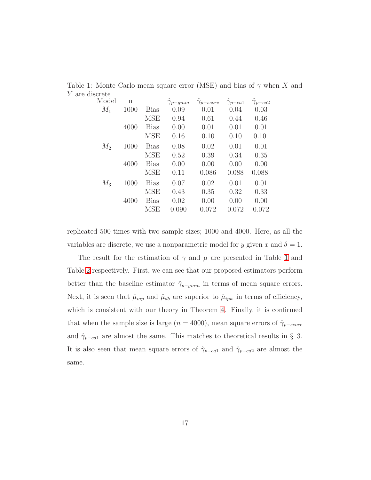<span id="page-16-0"></span>

| 11001 UUU |             |             |                  |                    |                  |                  |
|-----------|-------------|-------------|------------------|--------------------|------------------|------------------|
| Model     | $\mathbf n$ |             | $\gamma_{p-gmm}$ | $\gamma_{p-score}$ | $\gamma_{p-ca1}$ | $\gamma_{p-ca2}$ |
| $M_1$     | 1000        | <b>Bias</b> | 0.09             | 0.01               | 0.04             | 0.03             |
|           |             | <b>MSE</b>  | 0.94             | 0.61               | 0.44             | 0.46             |
|           | 4000        | <b>Bias</b> | 0.00             | 0.01               | 0.01             | 0.01             |
|           |             | <b>MSE</b>  | 0.16             | 0.10               | 0.10             | 0.10             |
| $M_2$     | 1000        | <b>Bias</b> | 0.08             | 0.02               | 0.01             | 0.01             |
|           |             | <b>MSE</b>  | 0.52             | 0.39               | 0.34             | 0.35             |
|           | 4000        | <b>Bias</b> | 0.00             | 0.00               | 0.00             | 0.00             |
|           |             | <b>MSE</b>  | 0.11             | 0.086              | 0.088            | 0.088            |
| $M_3$     | 1000        | <b>Bias</b> | 0.07             | 0.02               | 0.01             | 0.01             |
|           |             | <b>MSE</b>  | 0.43             | 0.35               | 0.32             | 0.33             |
|           | 4000        | <b>Bias</b> | 0.02             | 0.00               | 0.00             | 0.00             |
|           |             | <b>MSE</b>  | 0.090            | 0.072              | 0.072            | 0.072            |
|           |             |             |                  |                    |                  |                  |

Table 1: Monte Carlo mean square error (MSE) and bias of  $\gamma$  when X and Y are discrete

replicated 500 times with two sample sizes; 1000 and 4000. Here, as all the variables are discrete, we use a nonparametric model for y given x and  $\delta = 1$ .

The result for the estimation of  $\gamma$  and  $\mu$  are presented in Table [1](#page-16-0) and Table [2](#page-17-0) respectively. First, we can see that our proposed estimators perform better than the baseline estimator  $\hat{\gamma}_{p-gmm}$  in terms of mean square errors. Next, it is seen that  $\hat{\mu}_{mp}$  and  $\hat{\mu}_{db}$  are superior to  $\hat{\mu}_{ipw}$  in terms of efficiency, which is consistent with our theory in Theorem [4.](#page-13-0) Finally, it is confirmed that when the sample size is large ( $n = 4000$ ), mean square errors of  $\hat{\gamma}_{p-score}$ and  $\hat{\gamma}_{p-ca1}$  are almost the same. This matches to theoretical results in § 3. It is also seen that mean square errors of  $\hat{\gamma}_{p-ca1}$  and  $\hat{\gamma}_{p-ca2}$  are almost the same.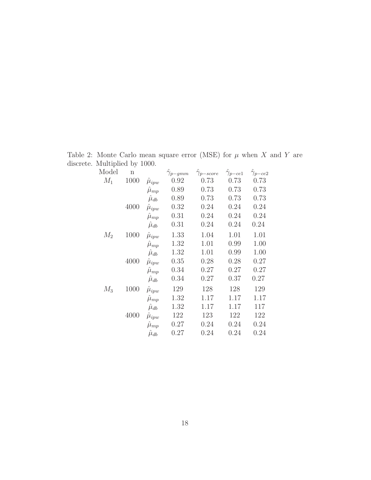Table 2: Monte Carlo mean square error (MSE) for  $\mu$  when  $X$  and  $Y$  are discrete. Multiplied by 1000.

<span id="page-17-0"></span>

| Model | $\mathbf n$ |                   | $\gamma_{p-gmm}$ | $\hat{\gamma}_{p-score}$ | $\gamma_{p-ce1}$ | $\hat{\gamma}_{p-ce2}$ |
|-------|-------------|-------------------|------------------|--------------------------|------------------|------------------------|
| $M_1$ | 1000        | $\hat{\mu}_{ipw}$ | 0.92             | 0.73                     | 0.73             | 0.73                   |
|       |             | $\hat{\mu}_{mp}$  | 0.89             | 0.73                     | 0.73             | 0.73                   |
|       |             | $\hat{\mu}_{db}$  | 0.89             | 0.73                     | 0.73             | 0.73                   |
|       | 4000        | $\hat{\mu}_{ipw}$ | 0.32             | 0.24                     | 0.24             | 0.24                   |
|       |             | $\hat{\mu}_{mp}$  | 0.31             | 0.24                     | 0.24             | 0.24                   |
|       |             | $\hat{\mu}_{db}$  | 0.31             | 0.24                     | 0.24             | 0.24                   |
| $M_2$ | 1000        | $\hat{\mu}_{ipw}$ | 1.33             | 1.04                     | 1.01             | 1.01                   |
|       |             | $\hat{\mu}_{mp}$  | 1.32             | 1.01                     | 0.99             | 1.00                   |
|       |             | $\hat{\mu}_{db}$  | 1.32             | 1.01                     | 0.99             | 1.00                   |
|       | 4000        | $\hat{\mu}_{ipw}$ | 0.35             | 0.28                     | 0.28             | 0.27                   |
|       |             | $\hat{\mu}_{mp}$  | 0.34             | 0.27                     | 0.27             | 0.27                   |
|       |             | $\hat{\mu}_{db}$  | 0.34             | 0.27                     | 0.37             | 0.27                   |
| $M_3$ | 1000        | $\hat{\mu}_{ipw}$ | 129              | 128                      | 128              | 129                    |
|       |             | $\hat{\mu}_{mp}$  | 1.32             | 1.17                     | 1.17             | 1.17                   |
|       |             | $\hat{\mu}_{db}$  | 1.32             | 1.17                     | 1.17             | 117                    |
|       | 4000        | $\mu_{ipw}$       | 122              | 123                      | 122              | 122                    |
|       |             | $\hat{\mu}_{mp}$  | 0.27             | 0.24                     | 0.24             | 0.24                   |
|       |             | $\hat{\mu}_{db}$  | 0.27             | 0.24                     | 0.24             | 0.24                   |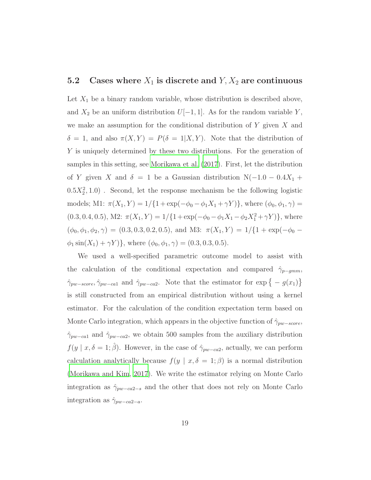#### 5.2 Cases where  $X_1$  is discrete and  $Y, X_2$  are continuous

Let  $X_1$  be a binary random variable, whose distribution is described above, and  $X_2$  be an uniform distribution  $U[-1, 1]$ . As for the random variable Y, we make an assumption for the conditional distribution of  $Y$  given  $X$  and  $\delta = 1$ , and also  $\pi(X, Y) = P(\delta = 1 | X, Y)$ . Note that the distribution of Y is uniquely determined by these two distributions. For the generation of samples in this setting, see [Morikawa et al. \(2017\)](#page-37-2). First, let the distribution of Y given X and  $\delta = 1$  be a Gaussian distribution N(-1.0 – 0.4X<sub>1</sub> +  $(0.5X_2^2, 1.0)$ . Second, let the response mechanism be the following logistic models; M1:  $\pi(X_1, Y) = 1/\{1 + \exp(-\phi_0 - \phi_1 X_1 + \gamma Y)\}$ , where  $(\phi_0, \phi_1, \gamma) =$  $(0.3, 0.4, 0.5), M2: \pi(X_1, Y) = 1/{1 + \exp(-\phi_0 - \phi_1 X_1 - \phi_2 X_1^2 + \gamma Y)},$  where  $(\phi_0, \phi_1, \phi_2, \gamma) = (0.3, 0.3, 0.2, 0.5), \text{ and M3: } \pi(X_1, Y) = 1/\{1 + \exp(-\phi_0 - \phi_0)\}$  $\phi_1 \sin(X_1) + \gamma Y$ }, where  $(\phi_0, \phi_1, \gamma) = (0.3, 0.3, 0.5)$ .

We used a well-specified parametric outcome model to assist with the calculation of the conditional expectation and compared  $\hat{\gamma}_{p-gmm}$ ,  $\hat{\gamma}_{pw-score}, \hat{\gamma}_{pw-ca1}$  and  $\hat{\gamma}_{pw-ca2}$ . Note that the estimator for  $\exp\{-g(x_1)\}\$ is still constructed from an empirical distribution without using a kernel estimator. For the calculation of the condition expectation term based on Monte Carlo integration, which appears in the objective function of  $\hat{\gamma}_{pw-score}$ ,  $\hat{\gamma}_{pw-ca1}$  and  $\hat{\gamma}_{pw-ca2}$ , we obtain 500 samples from the auxiliary distribution  $f(y \mid x, \delta = 1; \hat{\beta})$ . However, in the case of  $\hat{\gamma}_{pw-ca2}$ , actually, we can perform calculation analytically because  $f(y | x, \delta = 1; \beta)$  is a normal distribution [\(Morikawa and Kim, 2017](#page-37-3)). We write the estimator relying on Monte Carlo integration as  $\hat{\gamma}_{pw-ca2-s}$  and the other that does not rely on Monte Carlo integration as  $\hat{\gamma}_{pw-ca2-a}$ .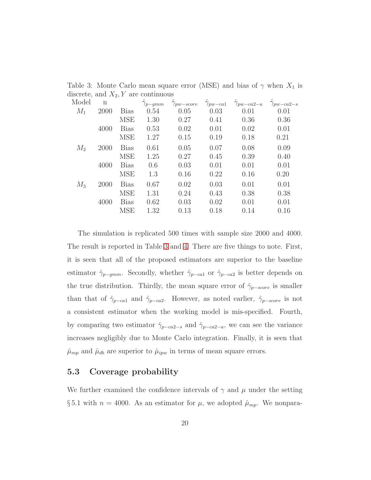Table 3: Monte Carlo mean square error (MSE) and bias of  $\gamma$  when  $X_1$  is discrete, and  $X_2, Y$  are continuous

<span id="page-19-0"></span>

| Model | $\mathbf n$ |             | $\gamma_{p-gmm}$ | $\gamma_{pw-score}$ | $\hat{\gamma}_{pw-ca1}$ | $\gamma_{pw-ca2-a}$ | $\gamma_{pw-ca2-s}$ |
|-------|-------------|-------------|------------------|---------------------|-------------------------|---------------------|---------------------|
| $M_1$ | 2000        | <b>Bias</b> | 0.54             | 0.05                | 0.03                    | 0.01                | 0.01                |
|       |             | <b>MSE</b>  | 1.30             | 0.27                | 0.41                    | 0.36                | 0.36                |
|       | 4000        | <b>Bias</b> | 0.53             | 0.02                | 0.01                    | 0.02                | 0.01                |
|       |             | <b>MSE</b>  | 1.27             | 0.15                | 0.19                    | 0.18                | 0.21                |
| $M_2$ | 2000        | <b>Bias</b> | 0.61             | 0.05                | 0.07                    | 0.08                | 0.09                |
|       |             | <b>MSE</b>  | 1.25             | 0.27                | 0.45                    | 0.39                | 0.40                |
|       | 4000        | <b>Bias</b> | 0.6              | 0.03                | 0.01                    | 0.01                | 0.01                |
|       |             | <b>MSE</b>  | 1.3              | 0.16                | 0.22                    | 0.16                | 0.20                |
| $M_3$ | 2000        | <b>Bias</b> | 0.67             | 0.02                | 0.03                    | 0.01                | 0.01                |
|       |             | <b>MSE</b>  | 1.31             | 0.24                | 0.43                    | 0.38                | 0.38                |
|       | 4000        | <b>Bias</b> | 0.62             | 0.03                | 0.02                    | 0.01                | 0.01                |
|       |             | <b>MSE</b>  | 1.32             | 0.13                | 0.18                    | 0.14                | 0.16                |
|       |             |             |                  |                     |                         |                     |                     |

The simulation is replicated 500 times with sample size 2000 and 4000. The result is reported in Table [3](#page-19-0) and [4.](#page-20-0) There are five things to note. First, it is seen that all of the proposed estimators are superior to the baseline estimator  $\hat{\gamma}_{p-gmm}$ . Secondly, whether  $\hat{\gamma}_{p-ca1}$  or  $\hat{\gamma}_{p-ca2}$  is better depends on the true distribution. Thirdly, the mean square error of  $\hat{\gamma}_{p-score}$  is smaller than that of  $\hat{\gamma}_{p-ca1}$  and  $\hat{\gamma}_{p-ca2}$ . However, as noted earlier,  $\hat{\gamma}_{p-score}$  is not a consistent estimator when the working model is mis-specified. Fourth, by comparing two estimator  $\hat{\gamma}_{p-ca2-s}$  and  $\hat{\gamma}_{p-ca2-a}$ , we can see the variance increases negligibly due to Monte Carlo integration. Finally, it is seen that  $\hat{\mu}_{mp}$  and  $\hat{\mu}_{db}$  are superior to  $\hat{\mu}_{ipw}$  in terms of mean square errors.

#### 5.3 Coverage probability

We further examined the confidence intervals of  $\gamma$  and  $\mu$  under the setting § 5.1 with  $n = 4000$ . As an estimator for  $\mu$ , we adopted  $\hat{\mu}_{mp}$ . We nonpara-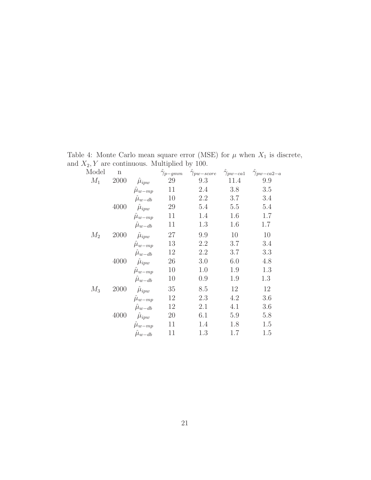Table 4: Monte Carlo mean square error (MSE) for  $\mu$  when  $X_1$  is discrete, and  $X_2, Y$  are continuous. Multiplied by 100.

<span id="page-20-0"></span>

| Model | $\mathbf n$ |                      | $\hat{\gamma}_{p-gmm}$ | $\hat{\gamma}_{pw-score}$ | $\hat{\gamma}_{pw-ca1}$ | $\hat{\gamma}_{pw-ca2-a}$ |
|-------|-------------|----------------------|------------------------|---------------------------|-------------------------|---------------------------|
| $M_1$ | 2000        | $\hat{\mu}_{ipw}$    | 29                     | 9.3                       | 11.4                    | 9.9                       |
|       |             | $\hat{\mu}_{w-mp}$   | 11                     | 2.4                       | 3.8                     | 3.5                       |
|       |             | $\hat{\mu}_{w - db}$ | 10                     | 2.2                       | 3.7                     | 3.4                       |
|       | 4000        | $\hat{\mu}_{ipw}$    | 29                     | 5.4                       | 5.5                     | 5.4                       |
|       |             | $\hat{\mu}_{w-mp}$   | 11                     | 1.4                       | 1.6                     | 1.7                       |
|       |             | $\hat{\mu}_{w - db}$ | 11                     | 1.3                       | 1.6                     | 1.7                       |
| $M_2$ | 2000        | $\hat{\mu}_{ipw}$    | 27                     | 9.9                       | 10                      | 10                        |
|       |             | $\hat{\mu}_{w-mp}$   | 13                     | 2.2                       | 3.7                     | 3.4                       |
|       |             | $\hat{\mu}_{w - db}$ | 12                     | 2.2                       | 3.7                     | 3.3                       |
|       | 4000        | $\hat{\mu}_{ipw}$    | 26                     | 3.0                       | 6.0                     | 4.8                       |
|       |             | $\hat{\mu}_{w-mp}$   | 10                     | 1.0                       | 1.9                     | 1.3                       |
|       |             | $\hat{\mu}_{w - db}$ | 10                     | 0.9                       | 1.9                     | 1.3                       |
| $M_3$ | 2000        | $\hat{\mu}_{ipw}$    | 35                     | 8.5                       | 12                      | 12                        |
|       |             | $\hat{\mu}_{w-mp}$   | 12                     | 2.3                       | 4.2                     | 3.6                       |
|       |             | $\hat{\mu}_{w - db}$ | 12                     | 2.1                       | 4.1                     | 3.6                       |
|       | 4000        | $\hat{\mu}_{ipw}$    | 20                     | 6.1                       | 5.9                     | 5.8                       |
|       |             | $\hat{\mu}_{w-mp}$   | 11                     | 1.4                       | 1.8                     | 1.5                       |
|       |             | $\hat{\mu}_{w - db}$ | 11                     | 1.3                       | 1.7                     | 1.5                       |
|       |             |                      |                        |                           |                         |                           |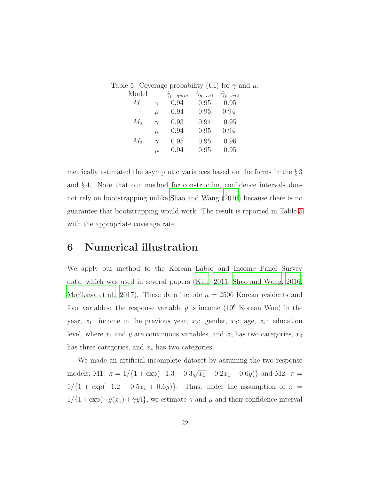<span id="page-21-0"></span>

|       |          |                                                                      |      | Table 5: Coverage probability (CI) for $\gamma$ and $\mu$ . |
|-------|----------|----------------------------------------------------------------------|------|-------------------------------------------------------------|
| Model |          | $\hat{\gamma}_{p-qmm}$ $\hat{\gamma}_{p-ca1}$ $\hat{\gamma}_{p-ca2}$ |      |                                                             |
| $M_1$ | $\gamma$ | 0.94                                                                 | 0.95 | 0.95                                                        |
|       | $\mu$    | $0.94$ 0.95                                                          |      | 0.94                                                        |
| $M_2$ | $\gamma$ | 0.93                                                                 | 0.94 | 0.95                                                        |
|       | $\mu$    | 0.94                                                                 | 0.95 | 0.94                                                        |
| $M_3$ | $\gamma$ | 0.95                                                                 | 0.95 | 0.96                                                        |
|       | $\mu$    | 0.94                                                                 | 0.95 | 0.95                                                        |

metrically estimated the asymptotic variances based on the forms in the § 3 and § 4. Note that our method for constructing confidence intervals does not rely on bootstrapping unlike [Shao and Wang \(2016\)](#page-39-0) because there is no guarantee that bootstrapping would work. The result is reported in Table [5](#page-21-0) with the appropriate coverage rate.

## 6 Numerical illustration

We apply our method to the Korean Labor and Income Panel Survey data, which was used in several papers [\(Kim, 2011](#page-36-3); [Shao and Wang,](#page-39-0) [2016](#page-39-0); [Morikawa et al.](#page-37-2), [2017](#page-37-2)). These data include  $n = 2506$  Korean residents and four variables: the response variable  $y$  is income  $(10^6)$  Korean Won) in the year,  $x_1$ : income in the previous year,  $x_2$ : gender,  $x_3$ : age,  $x_4$ : education level, where  $x_1$  and  $y$  are continuous variables, and  $x_2$  has two categories,  $x_3$ has three categories, and  $x_4$  has two categories.

We made an artificial incomplete dataset by assuming the two response models; M1:  $\pi = 1/{1 + \exp(-1.3 - 0.3\sqrt{x_1} - 0.2x_1 + 0.6y)}$  and M2:  $\pi =$  $1/{1 + \exp(-1.2 - 0.5x_1 + 0.6y)}$ . Thus, under the assumption of  $\pi$  =  $1/{1 + \exp(-g(x_1) + \gamma y)}$ , we estimate  $\gamma$  and  $\mu$  and their confidence interval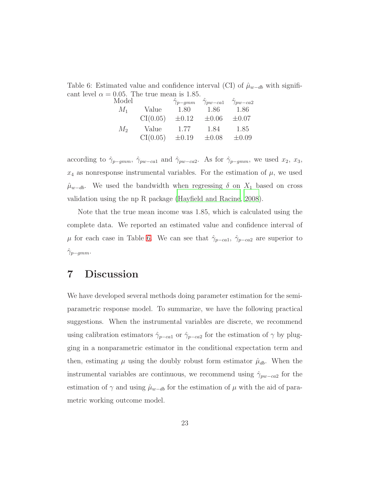Table 6: Estimated value and confidence interval (CI) of  $\hat{\mu}_{w-db}$  with significant level  $\alpha = 0.05$ . The true mean is 1.85.

<span id="page-22-0"></span>

| Model |          | $\hat{\gamma}_{p-gmm}$ | $\hat{\gamma}_{pw-ca1}$ | $\hat{\gamma}_{pw-ca2}$ |
|-------|----------|------------------------|-------------------------|-------------------------|
| $M_1$ | Value    | 1.80                   | 1.86                    | 1.86                    |
|       | CI(0.05) | $\pm 0.12$             | $\pm 0.06$              | $\pm 0.07$              |
| $M_2$ | Value    | 1.77                   | 1.84                    | 1.85                    |
|       | CI(0.05) | $\pm 0.19$             | $\pm 0.08$              | $\pm 0.09$              |
|       |          |                        |                         |                         |

according to  $\hat{\gamma}_{p-gmm}$ ,  $\hat{\gamma}_{pw-ca1}$  and  $\hat{\gamma}_{pw-ca2}$ . As for  $\hat{\gamma}_{p-gmm}$ , we used  $x_2$ ,  $x_3$ ,  $x_4$  as nonresponse instrumental variables. For the estimation of  $\mu$ , we used  $\hat{\mu}_{w-db}$ . We used the bandwidth when regressing  $\delta$  on  $X_1$  based on cross validation using the np R package [\(Hayfield and Racine, 2008](#page-36-5)).

Note that the true mean income was 1.85, which is calculated using the complete data. We reported an estimated value and confidence interval of  $\mu$  for each case in Table [6.](#page-22-0) We can see that  $\hat{\gamma}_{p-ca1}, \hat{\gamma}_{p-ca2}$  are superior to  $\gamma_{p-gmm}$ .

## 7 Discussion

We have developed several methods doing parameter estimation for the semiparametric response model. To summarize, we have the following practical suggestions. When the instrumental variables are discrete, we recommend using calibration estimators  $\hat{\gamma}_{p-ca1}$  or  $\hat{\gamma}_{p-ca2}$  for the estimation of  $\gamma$  by plugging in a nonparametric estimator in the conditional expectation term and then, estimating  $\mu$  using the doubly robust form estimator  $\hat{\mu}_{db}$ . When the instrumental variables are continuous, we recommend using  $\hat{\gamma}_{pw-ca2}$  for the estimation of  $\gamma$  and using  $\hat{\mu}_{w-db}$  for the estimation of  $\mu$  with the aid of parametric working outcome model.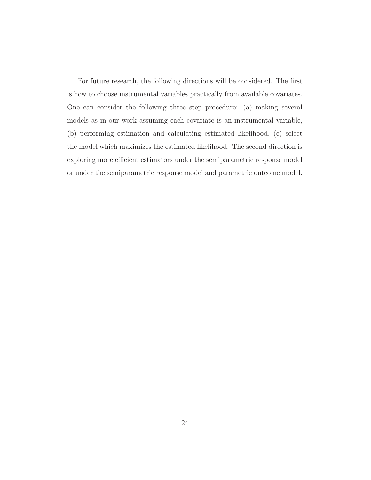For future research, the following directions will be considered. The first is how to choose instrumental variables practically from available covariates. One can consider the following three step procedure: (a) making several models as in our work assuming each covariate is an instrumental variable, (b) performing estimation and calculating estimated likelihood, (c) select the model which maximizes the estimated likelihood. The second direction is exploring more efficient estimators under the semiparametric response model or under the semiparametric response model and parametric outcome model.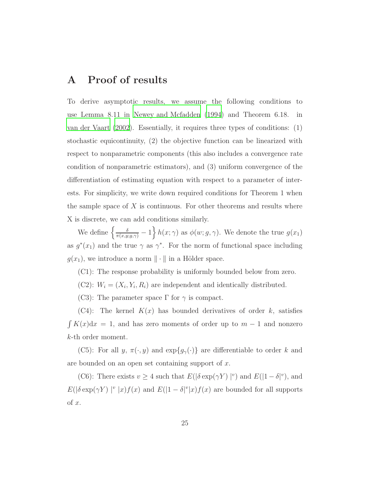## A Proof of results

To derive asymptotic results, we assume the following conditions to use Lemma 8.11 in [Newey and Mcfadden \(1994](#page-38-8)) and Theorem 6.18. in [van der Vaart \(2002\)](#page-39-5). Essentially, it requires three types of conditions: (1) stochastic equicontinuity, (2) the objective function can be linearized with respect to nonparametric components (this also includes a convergence rate condition of nonparametric estimators), and (3) uniform convergence of the differentiation of estimating equation with respect to a parameter of interests. For simplicity, we write down required conditions for Theorem 1 when the sample space of  $X$  is continuous. For other theorems and results where X is discrete, we can add conditions similarly.

We define  $\left\{\frac{\delta}{\pi(x,y;g,\gamma)}-1\right\}h(x;\gamma)$  as  $\phi(w;g,\gamma)$ . We denote the true  $g(x_1)$ as  $g^*(x_1)$  and the true  $\gamma$  as  $\gamma^*$ . For the norm of functional space including  $g(x_1)$ , we introduce a norm  $\|\cdot\|$  in a Hölder space.

- (C1): The response probability is uniformly bounded below from zero.
- (C2):  $W_i = (X_i, Y_i, R_i)$  are independent and identically distributed.
- (C3): The parameter space  $\Gamma$  for  $\gamma$  is compact.

 $(C4)$ : The kernel  $K(x)$  has bounded derivatives of order k, satisfies  $\int K(x)dx = 1$ , and has zero moments of order up to  $m-1$  and nonzero k-th order moment.

(C5): For all y,  $\pi(\cdot, y)$  and  $\exp\{g_\gamma(\cdot)\}\$ are differentiable to order k and are bounded on an open set containing support of x.

(C6): There exists  $v \ge 4$  such that  $E(|\delta \exp(\gamma Y)|^v)$  and  $E(|1-\delta|^v)$ , and  $E(|\delta \exp(\gamma Y)|^v |x) f(x)$  and  $E(|1-\delta|^v |x) f(x)$  are bounded for all supports  $of x.$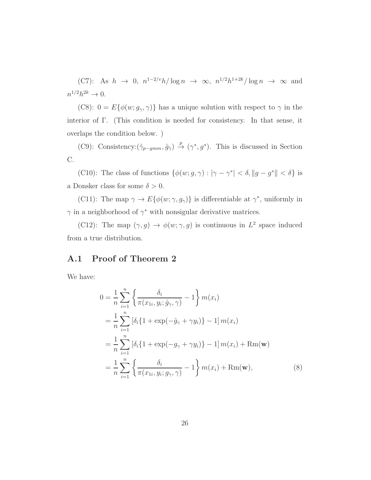(C7): As  $h \to 0$ ,  $n^{1-2/v}h/\log n \to \infty$ ,  $n^{1/2}h^{1+2k}/\log n \to \infty$  and  $n^{1/2}h^{2k} \to 0.$ 

(C8):  $0 = E\{\phi(w; g_\gamma, \gamma)\}\$  has a unique solution with respect to  $\gamma$  in the interior of Γ. (This condition is needed for consistency. In that sense, it overlaps the condition below. )

(C9): Consistency: $(\hat{\gamma}_{p-gmm}, \hat{g}_{\hat{\gamma}}) \stackrel{p}{\rightarrow} (\gamma^*, g^*)$ . This is discussed in Section  $\mathrm{C}.$ 

(C10): The class of functions  $\{\phi(w; g, \gamma) : |\gamma - \gamma^*| < \delta, ||g - g^*|| < \delta\}$  is a Donsker class for some  $\delta > 0$ .

(C11): The map  $\gamma \to E\{\phi(w; \gamma, g_{\gamma})\}$  is differentiable at  $\gamma^*$ , uniformly in  $\gamma$  in a neighborhood of  $\gamma^*$  with nonsigular derivative matrices.

(C12): The map  $(\gamma, g) \to \phi(w; \gamma, g)$  is continuous in  $L^2$  space induced from a true distribution.

### A.1 Proof of Theorem 2

We have:

<span id="page-25-0"></span>
$$
0 = \frac{1}{n} \sum_{i=1}^{n} \left\{ \frac{\delta_i}{\pi(x_{1i}, y_i; \hat{g}_{\gamma}, \gamma)} - 1 \right\} m(x_i)
$$
  
\n
$$
= \frac{1}{n} \sum_{i=1}^{n} [\delta_i \{ 1 + \exp(-\hat{g}_{\gamma} + \gamma y_i) \} - 1] m(x_i)
$$
  
\n
$$
= \frac{1}{n} \sum_{i=1}^{n} [\delta_i \{ 1 + \exp(-g_{\gamma} + \gamma y_i) \} - 1] m(x_i) + \text{Rm}(\mathbf{w})
$$
  
\n
$$
= \frac{1}{n} \sum_{i=1}^{n} \left\{ \frac{\delta_i}{\pi(x_{1i}, y_i; g_{\gamma}, \gamma)} - 1 \right\} m(x_i) + \text{Rm}(\mathbf{w}),
$$
 (8)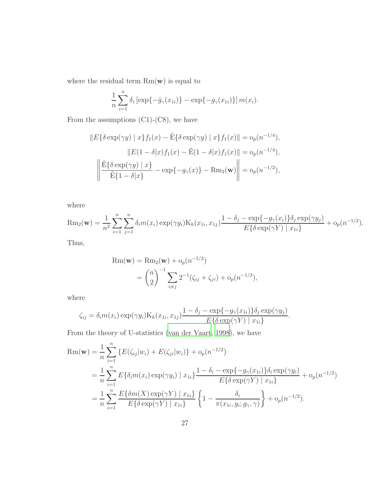where the residual term  $Rm(\mathbf{w})$  is equal to

$$
\frac{1}{n}\sum_{i=1}^{n} \delta_i \left[ \exp\{-\hat{g}_{\gamma}(x_{1i})\} - \exp\{-g_{\gamma}(x_{1i})\} \right] m(x_i).
$$

From the assumptions  $(C1)-(C8)$ , we have

$$
||E{\delta \exp(\gamma y) | x} f_1(x) - \tilde{E}{\delta \exp(\gamma y) | x} f_1(x)|| = o_p(n^{-1/4}),
$$
  
\n
$$
||E(1 - \delta|x) f_1(x) - \tilde{E}(1 - \delta|x) f_1(x)|| = o_p(n^{-1/4}),
$$
  
\n
$$
\left\| \frac{\tilde{E}{\delta \exp(\gamma y) | x}}{\tilde{E}{1 - \delta|x}} - \exp{-g_\gamma(x)} - Rm_2(\mathbf{w}) \right\| = o_p(n^{-1/2}),
$$

where

$$
\text{Rm}_2(\mathbf{w}) = \frac{1}{n^2} \sum_{i=1}^n \sum_{j=1}^n \delta_i m(x_i) \exp(\gamma y_i) \text{K}_h(x_{1i}, x_{1j}) \frac{1 - \delta_j - \exp\{-g_\gamma(x_i)\}\delta_j \exp(\gamma y_j)}{E\{\delta \exp(\gamma Y) \mid x_{1i}\}} + o_p(n^{-1/2}).
$$

Thus,

$$
Rm(\mathbf{w}) = Rm_2(\mathbf{w}) + o_p(n^{-1/2})
$$
  
=  $\binom{n}{2}^{-1} \sum_{i \neq j} 2^{-1} (\zeta_{ij} + \zeta_{ji}) + o_p(n^{-1/2}),$ 

where

$$
\zeta_{ij} = \delta_i m(x_i) \exp(\gamma y_i) \mathcal{K}_h(x_{1i}, x_{1j}) \frac{1 - \delta_j - \exp\{-g_\gamma(x_{1i})\}\delta_j \exp(\gamma y_j)}{E\{\delta \exp(\gamma Y) \mid x_{1i}\}}.
$$

From the theory of U-statistics [\(van der Vaart, 1998](#page-39-6)), we have

$$
Rm(\mathbf{w}) = \frac{1}{n} \sum_{i=1}^{n} \{ E(\zeta_{ij}|w_i) + E(\zeta_{ji}|w_i) \} + o_p(n^{-1/2})
$$
  
= 
$$
\frac{1}{n} \sum_{i=1}^{n} E\{\delta_i m(x_i) \exp(\gamma y_i) | x_{1i}\} \frac{1 - \delta_i - \exp\{-g_\gamma(x_{1i})\} \delta_i \exp(\gamma y_i)}{E\{\delta \exp(\gamma Y) | x_{1i}\}} + o_p(n^{-1/2})
$$
  
= 
$$
\frac{1}{n} \sum_{i=1}^{n} \frac{E\{\delta m(X) \exp(\gamma Y) | x_{1i}\}}{E\{\delta \exp(\gamma Y) | x_{1i}\}} \left\{1 - \frac{\delta_i}{\pi(x_{1i}, y_i; g_\gamma, \gamma)}\right\} + o_p(n^{-1/2}).
$$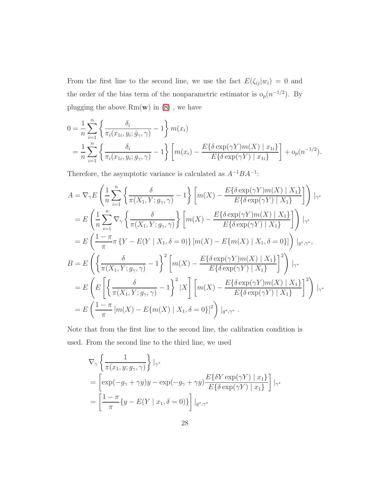From the first line to the second line, we use the fact  $E(\zeta_{ij}|w_i) = 0$  and the order of the bias term of the nonparametric estimator is  $o_p(n^{-1/2})$ . By plugging the above  $Rm(\mathbf{w})$  in  $(8)$ , we have

$$
0 = \frac{1}{n} \sum_{i=1}^{n} \left\{ \frac{\delta_i}{\pi_i(x_{1i}, y_i; \hat{g}_{\gamma}, \gamma)} - 1 \right\} m(x_i)
$$
  
=  $\frac{1}{n} \sum_{i=1}^{n} \left\{ \frac{\delta_i}{\pi_i(x_{1i}, y_i; g_{\gamma}, \gamma)} - 1 \right\} \left[ m(x_i) - \frac{E\{\delta \exp(\gamma Y)m(X) \mid x_{1i}\}}{E\{\delta \exp(\gamma Y) \mid x_{1i}\}} \right] + o_p(n^{-1/2}).$ 

Therefore, the asymptotic variance is calculated as  $A^{-1}BA^{-1}$ :

$$
A = \nabla_{\gamma} E \left( \frac{1}{n} \sum_{i=1}^{n} \left\{ \frac{\delta}{\pi(X_{1}, Y; g_{\gamma}, \gamma)} - 1 \right\} \left[ m(X) - \frac{E\{\delta \exp(\gamma Y)m(X) \mid X_{1}\}}{E\{\delta \exp(\gamma Y) \mid X_{1}\}} \right] \right) |_{\gamma^{*}}
$$
  
\n
$$
= E \left( \frac{1}{n} \sum_{i=1}^{n} \nabla_{\gamma} \left\{ \frac{\delta}{\pi(X_{1}, Y; g_{\gamma}, \gamma)} \right\} \left[ m(X) - \frac{E\{\delta \exp(\gamma Y)m(X) \mid X_{1}\}}{E\{\delta \exp(\gamma Y) \mid X_{1}\}} \right] \right) |_{\gamma^{*}}
$$
  
\n
$$
= E \left( \frac{1 - \pi}{\pi} \pi \left\{ Y - E(Y \mid X_{1}, \delta = 0) \right\} \left[ m(X) - E\{ m(X) \mid X_{1}, \delta = 0 \} \right] \right) |_{g^{*}, \gamma^{*}},
$$
  
\n
$$
B = E \left( \left\{ \frac{\delta}{\pi(X_{1}, Y; g_{\gamma}, \gamma)} - 1 \right\}^{2} \left[ m(X) - \frac{E\{\delta \exp(\gamma Y)m(X) \mid X_{1}\}}{E\{\delta \exp(\gamma Y) \mid X_{1}\}} \right]^{2} \right) |_{\gamma^{*}}
$$
  
\n
$$
= E \left( E \left[ \left\{ \frac{\delta}{\pi(X_{1}, Y; g_{\gamma}, \gamma)} - 1 \right\}^{2} |X \right] \left[ m(X) - \frac{E\{\delta \exp(\gamma Y)m(X) \mid X_{1}\}}{E\{\delta \exp(\gamma Y) \mid X_{1}\}} \right]^{2} \right) |_{\gamma^{*}}
$$
  
\n
$$
= E \left( \frac{1 - \pi}{\pi} \left[ m(X) - E\{ m(X) \mid X_{1}, \delta = 0 \} \right]^{2} \right) |_{g^{*}, \gamma^{*}}.
$$

Note that from the first line to the second line, the calibration condition is used. From the second line to the third line, we used

$$
\nabla_{\gamma} \left\{ \frac{1}{\pi(x_1, y; g_{\gamma}, \gamma)} \right\} \Big|_{\gamma^*}
$$
\n
$$
= \left[ \exp(-g_{\gamma} + \gamma y)y - \exp(-g_{\gamma} + \gamma y) \frac{E\{\delta Y \exp(\gamma Y) \mid x_1\}}{E\{\delta \exp(\gamma Y) \mid x_1\}} \right] \Big|_{\gamma^*}
$$
\n
$$
= \left[ \frac{1 - \pi}{\pi} \{ y - E(Y \mid x_1, \delta = 0) \} \right] \Big|_{g^*, \gamma^*}
$$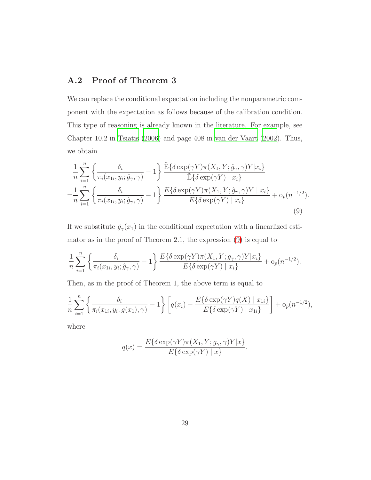### A.2 Proof of Theorem 3

We can replace the conditional expectation including the nonparametric component with the expectation as follows because of the calibration condition. This type of reasoning is already known in the literature. For example, see Chapter 10.2 in [Tsiatis \(2006](#page-39-7)) and page 408 in [van der Vaart \(2002](#page-39-5)). Thus, we obtain

$$
\frac{1}{n} \sum_{i=1}^{n} \left\{ \frac{\delta_i}{\pi_i(x_{1i}, y_i; \hat{g}_{\gamma}, \gamma)} - 1 \right\} \frac{\tilde{E}\{\delta \exp(\gamma Y)\pi(X_1, Y; \hat{g}_{\gamma}, \gamma)Y|x_i\}}{\tilde{E}\{\delta \exp(\gamma Y) \mid x_i\}} \n= \frac{1}{n} \sum_{i=1}^{n} \left\{ \frac{\delta_i}{\pi_i(x_{1i}, y_i; \hat{g}_{\gamma}, \gamma)} - 1 \right\} \frac{E\{\delta \exp(\gamma Y)\pi(X_1, Y; \hat{g}_{\gamma}, \gamma)Y \mid x_i\}}{E\{\delta \exp(\gamma Y) \mid x_i\}} + o_p(n^{-1/2}).
$$
\n(9)

If we substitute  $\hat{g}_{\gamma}(x_1)$  in the conditional expectation with a linearlized estimator as in the proof of Theorem 2.1, the expression [\(9\)](#page-28-0) is equal to

$$
\frac{1}{n}\sum_{i=1}^n \left\{\frac{\delta_i}{\pi_i(x_{1i}, y_i; \hat{g}_\gamma, \gamma)} - 1\right\} \frac{E\{\delta \exp(\gamma Y)\pi(X_1, Y; g_\gamma, \gamma)Y|x_i\}}{E\{\delta \exp(\gamma Y) \mid x_i\}} + o_p(n^{-1/2}).
$$

Then, as in the proof of Theorem 1, the above term is equal to

$$
\frac{1}{n} \sum_{i=1}^{n} \left\{ \frac{\delta_i}{\pi_i(x_{1i}, y_i; g(x_1), \gamma)} - 1 \right\} \left[ q(x_i) - \frac{E\{\delta \exp(\gamma Y)q(X) \mid x_{1i}\}}{E\{\delta \exp(\gamma Y) \mid x_{1i}\}} \right] + o_p(n^{-1/2}),
$$

where

<span id="page-28-0"></span>
$$
q(x) = \frac{E\{\delta \exp(\gamma Y)\pi(X_1, Y; g_{\gamma}, \gamma)Y|x\}}{E\{\delta \exp(\gamma Y) | x\}}.
$$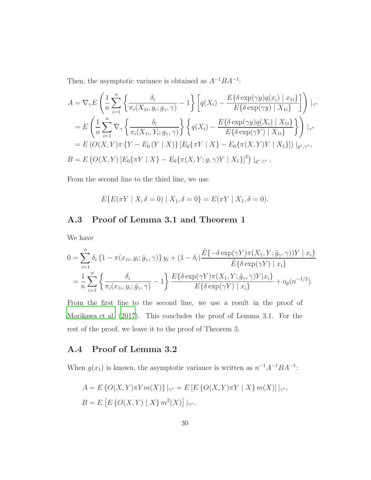Then, the asymptotic variance is obtained as  $A^{-1}BA^{-1}$ :

$$
A = \nabla_{\gamma} E \left( \frac{1}{n} \sum_{i=1}^{n} \left\{ \frac{\delta_{i}}{\pi_{i}(X_{1i}, y_{i}; g_{\gamma}, \gamma)} - 1 \right\} \left[ q(X_{i}) - \frac{E\{\delta \exp(\gamma y)q(x_{i}) \mid x_{1i}\}}{E\{\delta \exp(\gamma y) \mid X_{1i}\}} \right] \right) |_{\gamma^{*}}
$$
  
\n
$$
= E \left( \frac{1}{n} \sum_{i=1}^{n} \nabla_{\gamma} \left\{ \frac{\delta_{i}}{\pi_{i}(X_{1i}, Y_{i}; g_{\gamma}, \gamma)} \right\} \left\{ q(X_{i}) - \frac{E\{\delta \exp(\gamma y)q(X_{i}) \mid X_{1i}\}}{E\{\delta \exp(\gamma Y) \mid X_{1i}\}} \right\} \right) |_{\gamma^{*}}
$$
  
\n
$$
= E \left( O(X, Y) \pi \left\{ Y - E_{0} \left( Y \mid X \right) \right\} \left[ E_{0} \{\pi Y \mid X\} - E_{0} \{\pi(X, Y)Y \mid X_{1}\} \right] \right) |_{g^{*}, \gamma^{*}},
$$
  
\n
$$
B = E \left( O(X, Y) \left[ E_{0} \{\pi Y \mid X\} - E_{0} \{\pi(X, Y; g, \gamma)Y \mid X_{1}\} \right]^{2} \right) |_{g^{*}, \gamma^{*}}.
$$

From the second line to the third line, we use

$$
E\{E(\pi Y \mid X, \delta = 0) \mid X_1, \delta = 0\} = E(\pi Y \mid X_1, \delta = 0).
$$

## A.3 Proof of Lemma 3.1 and Theorem 1

We have

$$
0 = \sum_{i=1}^{n} \delta_i \left\{ 1 - \pi(x_{1i}, y_i; \hat{g}_{\gamma}, \gamma) \right\} y_i + (1 - \delta_i) \frac{\tilde{E} \{-\delta \exp(\gamma Y)\pi(X_1, Y; \hat{g}_{\gamma}, \gamma))Y \mid x_i \}}{\tilde{E} \{\delta \exp(\gamma Y) \mid x_i \}}
$$
  
= 
$$
\frac{1}{n} \sum_{i=1}^{n} \left\{ \frac{\delta_i}{\pi_i(x_{1i}, y_i; \hat{g}_{\gamma}, \gamma)} - 1 \right\} \frac{E \{\delta \exp(\gamma Y)\pi(X_1, Y; \hat{g}_{\gamma}, \gamma)Y \mid x_i \}}{\tilde{E} \{\delta \exp(\gamma Y) \mid x_i \}} + o_p(n^{-1/2}).
$$

From the first line to the second line, we use a result in the proof of [Morikawa et al. \(2017](#page-37-2)). This concludes the proof of Lemma 3.1. For the rest of the proof, we leave it to the proof of Theorem 3.

### A.4 Proof of Lemma 3.2

When  $g(x_1)$  is known, the asymptotic variance is written as  $n^{-1}A^{-1}BA^{-1}$ :

$$
A = E \{ O(X, Y) \pi Y m(X) \} |_{\gamma^*} = E [ E \{ O(X, Y) \pi Y | X \} m(X) ] |_{\gamma^*},
$$
  

$$
B = E [ E \{ O(X, Y) | X \} m^2(X) ] |_{\gamma^*}.
$$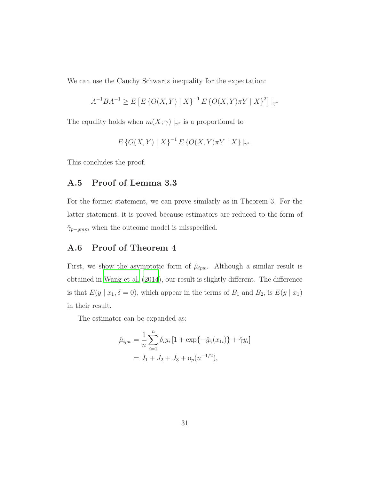We can use the Cauchy Schwartz inequality for the expectation:

$$
A^{-1}BA^{-1} \ge E\left[E\left\{O(X,Y) \mid X\right\}^{-1} E\left\{O(X,Y)\pi Y \mid X\right\}^{2}\right]|_{\gamma^*}
$$

The equality holds when  $m(X; \gamma) \mid_{\gamma^*}$  is a proportional to

$$
E\left\{O(X,Y) \mid X\right\}^{-1} E\left\{O(X,Y)\pi Y \mid X\right\}\big|_{\gamma^*}.
$$

This concludes the proof.

### A.5 Proof of Lemma 3.3

For the former statement, we can prove similarly as in Theorem 3. For the latter statement, it is proved because estimators are reduced to the form of  $\hat{\gamma}_{p-gmm}$  when the outcome model is misspecified.

## A.6 Proof of Theorem 4

First, we show the asymptotic form of  $\hat{\mu}_{ipw}$ . Although a similar result is obtained in [Wang et al. \(2014\)](#page-39-1), our result is slightly different. The difference is that  $E(y \mid x_1, \delta = 0)$ , which appear in the terms of  $B_1$  and  $B_2$ , is  $E(y \mid x_1)$ in their result.

The estimator can be expanded as:

$$
\hat{\mu}_{ipw} = \frac{1}{n} \sum_{i=1}^{n} \delta_i y_i \left[ 1 + \exp\{-\hat{g}_{\hat{\gamma}}(x_{1i})\} + \hat{\gamma} y_i \right]
$$

$$
= J_1 + J_2 + J_3 + o_p(n^{-1/2}),
$$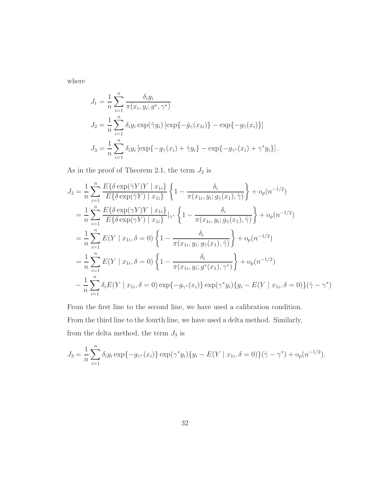where

$$
J_1 = \frac{1}{n} \sum_{i=1}^n \frac{\delta_i y_i}{\pi(x_i, y_i; g^*, \gamma^*)}
$$
  
\n
$$
J_2 = \frac{1}{n} \sum_{i=1}^n \delta_i y_i \exp(\hat{\gamma} y_i) [\exp\{-\hat{g}_{\gamma}(x_{1i})\} - \exp\{-g_{\hat{\gamma}}(x_i)\}]
$$
  
\n
$$
J_3 = \frac{1}{n} \sum_{i=1}^n \delta_i y_i [\exp\{-g_{\hat{\gamma}}(x_i) + \hat{\gamma} y_i\} - \exp\{-g_{\gamma^*}(x_i) + \gamma^* y_i\}].
$$

As in the proof of Theorem 2.1, the term  $J_2$  is

$$
J_2 = \frac{1}{n} \sum_{i=1}^n \frac{E\{\delta \exp(\hat{\gamma}Y)Y \mid x_{1i}\}}{E\{\delta \exp(\hat{\gamma}Y) \mid x_{1i}\}} \left\{ 1 - \frac{\delta_i}{\pi(x_{1i}, y_i; g_{\hat{\gamma}}(x_1), \hat{\gamma})} \right\} + o_p(n^{-1/2})
$$
  
\n
$$
= \frac{1}{n} \sum_{i=1}^n \frac{E\{\delta \exp(\gammaY)Y \mid x_{1i}\}}{E\{\delta \exp(\gammaY) \mid x_{1i}\}} |_{\gamma^*} \left\{ 1 - \frac{\delta_i}{\pi(x_{1i}, y_i; g_{\hat{\gamma}}(x_1), \hat{\gamma})} \right\} + o_p(n^{-1/2})
$$
  
\n
$$
= \frac{1}{n} \sum_{i=1}^n E(Y \mid x_{1i}, \delta = 0) \left\{ 1 - \frac{\delta_i}{\pi(x_{1i}, y_i; g_{\hat{\gamma}}(x_1), \hat{\gamma})} \right\} + o_p(n^{-1/2})
$$
  
\n
$$
= \frac{1}{n} \sum_{i=1}^n E(Y \mid x_{1i}, \delta = 0) \left\{ 1 - \frac{\delta_i}{\pi(x_{1i}, y_i; g^*(x_1), \hat{\gamma}^*)} \right\} + o_p(n^{-1/2})
$$
  
\n
$$
- \frac{1}{n} \sum_{i=1}^n \delta_i E(Y \mid x_{1i}, \delta = 0) \exp\{-g_{\gamma^*}(x_i)\} \exp(\gamma^* y_i) \{y_i - E(Y \mid x_{1i}, \delta = 0)\} (\hat{\gamma} - \gamma^*)
$$

From the first line to the second line, we have used a calibration condition. From the third line to the fourth line, we have used a delta method. Similarly, from the delta method, the term  $J_3$  is

$$
J_3 = \frac{1}{n} \sum_{i=1}^n \delta_i y_i \exp\{-g_{\gamma^*}(x_i)\} \exp(\gamma^* y_i) \{y_i - E(Y \mid x_{1i}, \delta = 0)\} (\hat{\gamma} - \gamma^*) + o_p(n^{-1/2}).
$$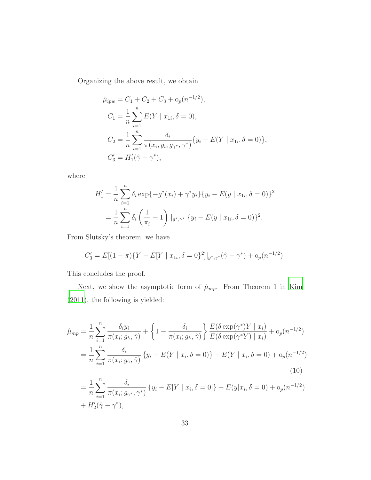Organizing the above result, we obtain

$$
\hat{\mu}_{ipw} = C_1 + C_2 + C_3 + o_p(n^{-1/2}),
$$
\n
$$
C_1 = \frac{1}{n} \sum_{i=1}^n E(Y \mid x_{1i}, \delta = 0),
$$
\n
$$
C_2 = \frac{1}{n} \sum_{i=1}^n \frac{\delta_i}{\pi(x_i, y_i; g_{\gamma^*}, \gamma^*)} \{y_i - E(Y \mid x_{1i}, \delta = 0)\},
$$
\n
$$
C'_3 = H'_1(\hat{\gamma} - \gamma^*),
$$

where

$$
H'_1 = \frac{1}{n} \sum_{i=1}^n \delta_i \exp\{-g^*(x_i) + \gamma^* y_i\} \{y_i - E(y \mid x_{1i}, \delta = 0)\}^2
$$
  
= 
$$
\frac{1}{n} \sum_{i=1}^n \delta_i \left(\frac{1}{\pi_i} - 1\right) \big|_{g^*, \gamma^*} \{y_i - E(y \mid x_{1i}, \delta = 0)\}^2.
$$

From Slutsky's theorem, we have

$$
C_3' = E[(1 - \pi)\{Y - E[Y \mid x_{1i}, \delta = 0\}^2]|_{g^*, \gamma^*}(\hat{\gamma} - \gamma^*) + o_p(n^{-1/2}).
$$

This concludes the proof.

Next, we show the asymptotic form of  $\hat{\mu}_{mp}$ . From Theorem 1 in [Kim](#page-36-3) [\(2011\)](#page-36-3), the following is yielded:

$$
\hat{\mu}_{mp} = \frac{1}{n} \sum_{i=1}^{n} \frac{\delta_i y_i}{\pi(x_i; g_{\hat{\gamma}}, \hat{\gamma})} + \left\{ 1 - \frac{\delta_i}{\pi(x_i; g_{\hat{\gamma}}, \hat{\gamma})} \right\} \frac{E(\delta \exp(\gamma^*) Y \mid x_i)}{E(\delta \exp(\gamma^* Y) \mid x_i)} + o_p(n^{-1/2})
$$
\n
$$
= \frac{1}{n} \sum_{i=1}^{n} \frac{\delta_i}{\pi(x_i; g_{\hat{\gamma}}, \hat{\gamma})} \left\{ y_i - E(Y \mid x_i, \delta = 0) \right\} + E(Y \mid x_i, \delta = 0) + o_p(n^{-1/2})
$$
\n(10)

<span id="page-32-0"></span>
$$
= \frac{1}{n} \sum_{i=1}^{n} \frac{\delta_i}{\pi(x_i; g_{\gamma^*}, \gamma^*)} \{y_i - E[Y \mid x_i, \delta = 0]\} + E(y|x_i, \delta = 0) + o_p(n^{-1/2}) + H'_2(\hat{\gamma} - \gamma^*),
$$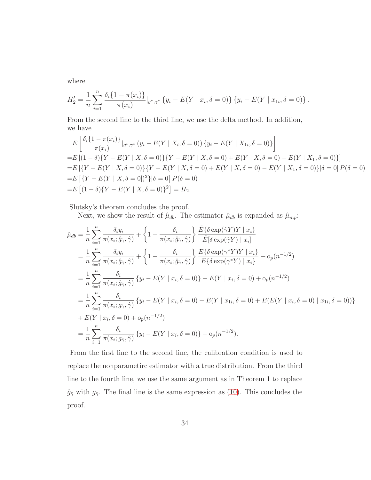where

$$
H_2' = \frac{1}{n} \sum_{i=1}^n \frac{\delta_i \{1 - \pi(x_i)\}}{\pi(x_i)} |_{g^*, \gamma^*} \{y_i - E(Y \mid x_i, \delta = 0)\} \{y_i - E(Y \mid x_{1i}, \delta = 0)\}.
$$

From the second line to the third line, we use the delta method. In addition, we have

$$
E\left[\frac{\delta_i\{1-\pi(x_i)\}}{\pi(x_i)}|_{g^*,\gamma^*}(y_i - E(Y \mid X_i, \delta = 0))\{y_i - E(Y \mid X_{1i}, \delta = 0)\}\right]
$$
  
=  $E\left[(1-\delta)\{Y - E(Y \mid X, \delta = 0)\}\{Y - E(Y \mid X, \delta = 0) + E(Y \mid X, \delta = 0) - E(Y \mid X_1, \delta = 0)\}\right]$   
=  $E\left[\{Y - E(Y \mid X, \delta = 0)\}\{Y - E(Y \mid X, \delta = 0) + E(Y \mid X, \delta = 0) - E(Y \mid X_1, \delta = 0)\}\big|\delta = 0\right]P(\delta = 0)$   
=  $E\left[(1-\delta)\{Y - E(Y \mid X, \delta = 0)\}^2\}\big|\delta = 0\right]P(\delta = 0)$   
=  $E\left[(1-\delta)\{Y - E(Y \mid X, \delta = 0)\}^2\right] = H_2.$ 

Slutsky's theorem concludes the proof.

Next, we show the result of  $\hat{\mu}_{db}$ . The estimator  $\hat{\mu}_{db}$  is expanded as  $\hat{\mu}_{mp}$ :

$$
\hat{\mu}_{db} = \frac{1}{n} \sum_{i=1}^{n} \frac{\delta_{i} y_{i}}{\pi(x_{i}; \hat{g}_{\hat{\gamma}}, \hat{\gamma})} + \left\{ 1 - \frac{\delta_{i}}{\pi(x_{i}; \hat{g}_{\hat{\gamma}}, \hat{\gamma})} \right\} \frac{\tilde{E}\{\delta \exp(\hat{\gamma}Y)Y \mid x_{i}\}}{\tilde{E}[\delta \exp(\hat{\gamma}Y) \mid x_{i}]}
$$
\n
$$
= \frac{1}{n} \sum_{i=1}^{n} \frac{\delta_{i} y_{i}}{\pi(x_{i}; \hat{g}_{\hat{\gamma}}, \hat{\gamma})} + \left\{ 1 - \frac{\delta_{i}}{\pi(x_{i}; \hat{g}_{\hat{\gamma}}, \hat{\gamma})} \right\} \frac{E\{\delta \exp(\gamma^{*}Y)Y \mid x_{i}\}}{E\{\delta \exp(\gamma^{*}Y) \mid x_{i}\}} + o_{p}(n^{-1/2})
$$
\n
$$
= \frac{1}{n} \sum_{i=1}^{n} \frac{\delta_{i}}{\pi(x_{i}; \hat{g}_{\hat{\gamma}}, \hat{\gamma})} \left\{ y_{i} - E(Y \mid x_{i}, \delta = 0) \right\} + E(Y \mid x_{i}, \delta = 0) + o_{p}(n^{-1/2})
$$
\n
$$
= \frac{1}{n} \sum_{i=1}^{n} \frac{\delta_{i}}{\pi(x_{i}; g_{\hat{\gamma}}, \hat{\gamma})} \left\{ y_{i} - E(Y \mid x_{i}, \delta = 0) - E(Y \mid x_{1i}, \delta = 0) + E(E(Y \mid x_{i}, \delta = 0) \mid x_{1i}, \delta = 0) \right\}
$$
\n
$$
+ E(Y \mid x_{i}, \delta = 0) + o_{p}(n^{-1/2})
$$
\n
$$
= \frac{1}{n} \sum_{i=1}^{n} \frac{\delta_{i}}{\pi(x_{i}; g_{\hat{\gamma}}, \hat{\gamma})} \left\{ y_{i} - E(Y \mid x_{i}, \delta = 0) \right\} + o_{p}(n^{-1/2}).
$$

From the first line to the second line, the calibration condition is used to replace the nonparametirc estimator with a true distribution. From the third line to the fourth line, we use the same argument as in Theorem 1 to replace  $\hat{g}_{\hat{\gamma}}$  with  $g_{\hat{\gamma}}$ . The final line is the same expression as [\(10\)](#page-32-0). This concludes the proof.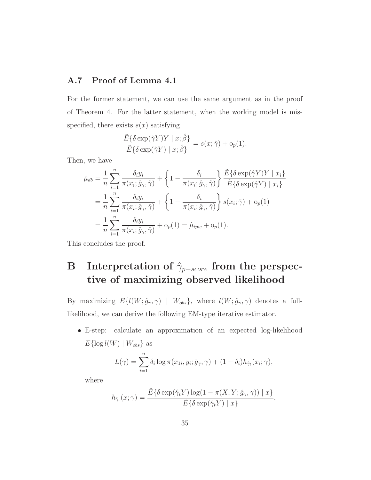### A.7 Proof of Lemma 4.1

For the former statement, we can use the same argument as in the proof of Theorem 4. For the latter statement, when the working model is misspecified, there exists  $s(x)$  satisfying

$$
\frac{\tilde{E}\{\delta \exp(\hat{\gamma}Y)Y \mid x;\hat{\beta}\}}{\tilde{E}\{\delta \exp(\hat{\gamma}Y) \mid x;\hat{\beta}\}} = s(x;\hat{\gamma}) + o_p(1).
$$

Then, we have

$$
\hat{\mu}_{db} = \frac{1}{n} \sum_{i=1}^{n} \frac{\delta_i y_i}{\pi(x_i; \hat{g}_{\gamma}, \hat{\gamma})} + \left\{ 1 - \frac{\delta_i}{\pi(x_i; \hat{g}_{\gamma}, \hat{\gamma})} \right\} \frac{\tilde{E}\{\delta \exp(\hat{\gamma}Y)Y \mid x_i\}}{\tilde{E}\{\delta \exp(\hat{\gamma}Y) \mid x_i\}}
$$
\n
$$
= \frac{1}{n} \sum_{i=1}^{n} \frac{\delta_i y_i}{\pi(x_i; \hat{g}_{\gamma}, \hat{\gamma})} + \left\{ 1 - \frac{\delta_i}{\pi(x_i; \hat{g}_{\gamma}, \hat{\gamma})} \right\} s(x_i; \hat{\gamma}) + o_p(1)
$$
\n
$$
= \frac{1}{n} \sum_{i=1}^{n} \frac{\delta_i y_i}{\pi(x_i; \hat{g}_{\gamma}, \hat{\gamma})} + o_p(1) = \hat{\mu}_{ipw} + o_p(1).
$$

This concludes the proof.

# B Interpretation of  $\hat{\gamma}_{p-score}$  from the perspective of maximizing observed likelihood

By maximizing  $E\{l(W; \hat{g}_{\gamma}, \gamma) \mid W_{obs}\}$ , where  $l(W; \hat{g}_{\gamma}, \gamma)$  denotes a fulllikelihood, we can derive the following EM-type iterative estimator.

• E-step: calculate an approximation of an expected log-likelihood  $E\{\log l(W) | W_{obs}\}\$ as

$$
L(\gamma) = \sum_{i=1}^{n} \delta_i \log \pi(x_{1i}, y_i; \hat{g}_{\gamma}, \gamma) + (1 - \delta_i) h_{\hat{\gamma}_t}(x_i; \gamma),
$$

where

$$
h_{\hat{\gamma}_t}(x;\gamma) = \frac{\tilde{E}\{\delta \exp(\hat{\gamma}_t Y) \log(1 - \pi(X, Y; \hat{g}_{\gamma}, \gamma)) \mid x\}}{\tilde{E}\{\delta \exp(\hat{\gamma}_t Y) \mid x\}}.
$$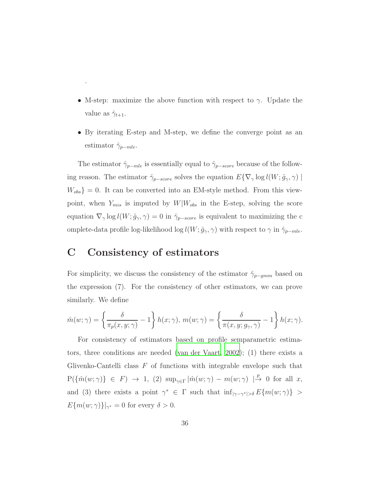- M-step: maximize the above function with respect to  $\gamma$ . Update the value as  $\hat{\gamma}_{t+1}$ .
- By iterating E-step and M-step, we define the converge point as an estimator  $\hat{\gamma}_{p-mle}$ .

The estimator  $\hat{\gamma}_{p-mle}$  is essentially equal to  $\hat{\gamma}_{p-score}$  because of the following reason. The estimator  $\hat{\gamma}_{p-score}$  solves the equation  $E\{\nabla_{\gamma}\log l(W; \hat{g}_{\gamma}, \gamma)\}\$  $W_{obs}$ } = 0. It can be converted into an EM-style method. From this viewpoint, when  $Y_{mis}$  is imputed by  $W|W_{obs}$  in the E-step, solving the score equation  $\nabla_{\gamma} \log l(W; \hat{g}_{\gamma}, \gamma) = 0$  in  $\hat{\gamma}_{p-score}$  is equivalent to maximizing the c omplete-data profile log-likelihood log  $l(W; \hat{g}_{\gamma}, \gamma)$  with respect to  $\gamma$  in  $\hat{\gamma}_{p-mle}$ .

## C Consistency of estimators

.

For simplicity, we discuss the consistency of the estimator  $\hat{\gamma}_{p-gmm}$  based on the expression (7). For the consistency of other estimators, we can prove similarly. We define

$$
\hat{m}(w;\gamma) = \left\{\frac{\delta}{\pi_p(x,y;\gamma)} - 1\right\} h(x;\gamma), m(w;\gamma) = \left\{\frac{\delta}{\pi(x,y;g_\gamma,\gamma)} - 1\right\} h(x;\gamma).
$$

For consistency of estimators based on profile semparametric estimators, three conditions are needed [\(van der Vaart, 2002](#page-39-5)); (1) there exists a Glivenko-Cantelli class  $F$  of functions with integrable envelope such that  $P(\{\hat{m}(w;\gamma)\}\in F) \rightarrow 1, (2) \ \sup_{\gamma\in\Gamma}|\hat{m}(w;\gamma)-m(w;\gamma)| \stackrel{p}{\rightarrow} 0 \text{ for all } x,$ and (3) there exists a point  $\gamma^* \in \Gamma$  such that  $\inf_{|\gamma - \gamma^*| > \delta} E\{m(w; \gamma)\} >$  $E\{m(w; \gamma)\}\big|_{\gamma^*} = 0$  for every  $\delta > 0$ .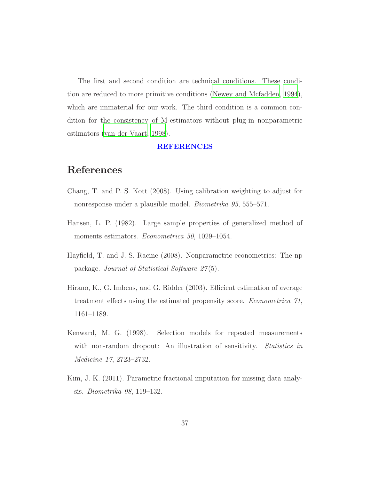The first and second condition are technical conditions. These condition are reduced to more primitive conditions [\(Newey and Mcfadden](#page-38-8), [1994\)](#page-38-8), which are immaterial for our work. The third condition is a common condition for the consistency of M-estimators without plug-in nonparametric estimators [\(van der Vaart, 1998](#page-39-6)).

#### REFERENCES

## References

- <span id="page-36-1"></span>Chang, T. and P. S. Kott (2008). Using calibration weighting to adjust for nonresponse under a plausible model. *Biometrika 95*, 555–571.
- <span id="page-36-4"></span>Hansen, L. P. (1982). Large sample properties of generalized method of moments estimators. *Econometrica 50*, 1029–1054.
- <span id="page-36-5"></span>Hayfield, T. and J. S. Racine (2008). Nonparametric econometrics: The np package. *Journal of Statistical Software 27* (5).
- <span id="page-36-2"></span>Hirano, K., G. Imbens, and G. Ridder (2003). Efficient estimation of average treatment effects using the estimated propensity score. *Econometrica 71*, 1161–1189.
- <span id="page-36-0"></span>Kenward, M. G. (1998). Selection models for repeated measurements with non-random dropout: An illustration of sensitivity. *Statistics in Medicine 17*, 2723–2732.
- <span id="page-36-3"></span>Kim, J. K. (2011). Parametric fractional imputation for missing data analysis. *Biometrika 98*, 119–132.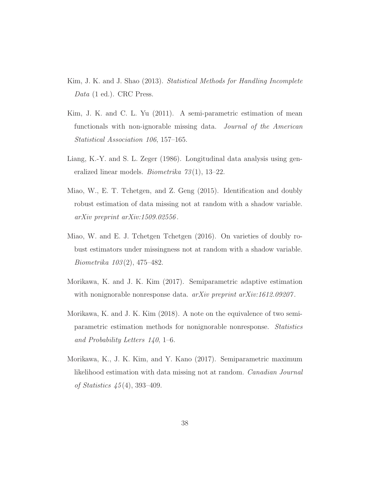- <span id="page-37-0"></span>Kim, J. K. and J. Shao (2013). *Statistical Methods for Handling Incomplete Data* (1 ed.). CRC Press.
- <span id="page-37-5"></span>Kim, J. K. and C. L. Yu (2011). A semi-parametric estimation of mean functionals with non-ignorable missing data. *Journal of the American Statistical Association 106*, 157–165.
- <span id="page-37-1"></span>Liang, K.-Y. and S. L. Zeger (1986). Longitudinal data analysis using generalized linear models. *Biometrika 73* (1), 13–22.
- <span id="page-37-7"></span>Miao, W., E. T. Tchetgen, and Z. Geng (2015). Identification and doubly robust estimation of data missing not at random with a shadow variable. *arXiv preprint arXiv:1509.02556* .
- <span id="page-37-6"></span>Miao, W. and E. J. Tchetgen Tchetgen (2016). On varieties of doubly robust estimators under missingness not at random with a shadow variable. *Biometrika 103* (2), 475–482.
- <span id="page-37-3"></span>Morikawa, K. and J. K. Kim (2017). Semiparametric adaptive estimation with nonignorable nonresponse data. *arXiv preprint arXiv:1612.09207* .
- <span id="page-37-4"></span>Morikawa, K. and J. K. Kim (2018). A note on the equivalence of two semiparametric estimation methods for nonignorable nonresponse. *Statistics and Probability Letters 140*, 1–6.
- <span id="page-37-2"></span>Morikawa, K., J. K. Kim, and Y. Kano (2017). Semiparametric maximum likelihood estimation with data missing not at random. *Canadian Journal of Statistics 45* (4), 393–409.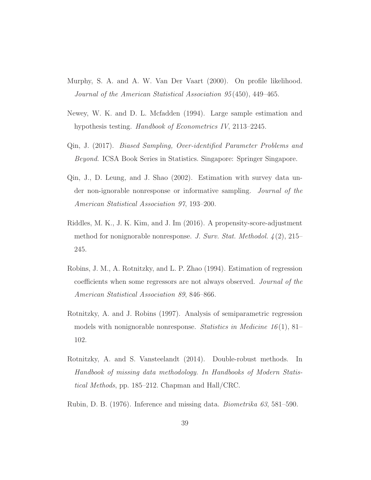- <span id="page-38-4"></span>Murphy, S. A. and A. W. Van Der Vaart (2000). On profile likelihood. *Journal of the American Statistical Association 95* (450), 449–465.
- <span id="page-38-8"></span>Newey, W. K. and D. L. Mcfadden (1994). Large sample estimation and hypothesis testing. *Handbook of Econometrics IV*, 2113–2245.
- <span id="page-38-3"></span>Qin, J. (2017). *Biased Sampling, Over-identified Parameter Problems and Beyond*. ICSA Book Series in Statistics. Singapore: Springer Singapore.
- <span id="page-38-2"></span>Qin, J., D. Leung, and J. Shao (2002). Estimation with survey data under non-ignorable nonresponse or informative sampling. *Journal of the American Statistical Association 97*, 193–200.
- <span id="page-38-1"></span>Riddles, M. K., J. K. Kim, and J. Im (2016). A propensity-score-adjustment method for nonignorable nonresponse. *J. Surv. Stat. Methodol. 4* (2), 215– 245.
- <span id="page-38-6"></span>Robins, J. M., A. Rotnitzky, and L. P. Zhao (1994). Estimation of regression coefficients when some regressors are not always observed. *Journal of the American Statistical Association 89*, 846–866.
- <span id="page-38-5"></span>Rotnitzky, A. and J. Robins (1997). Analysis of semiparametric regression models with nonignorable nonresponse. *Statistics in Medicine 16* (1), 81– 102.
- <span id="page-38-7"></span>Rotnitzky, A. and S. Vansteelandt (2014). Double-robust methods. In *Handbook of missing data methodology. In Handbooks of Modern Statistical Methods*, pp. 185–212. Chapman and Hall/CRC.
- <span id="page-38-0"></span>Rubin, D. B. (1976). Inference and missing data. *Biometrika 63*, 581–590.